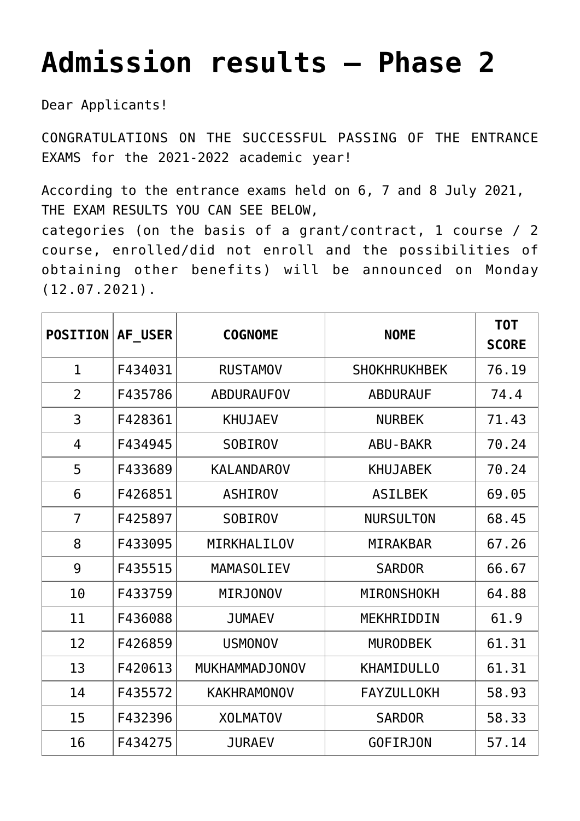## **[Admission results – Phase 2](https://polito.uz/15489/)**

Dear Applicants!

CONGRATULATIONS ON THE SUCCESSFUL PASSING OF THE ENTRANCE EXAMS for the 2021-2022 academic year!

According to the entrance exams held on 6, 7 and 8 July 2021, THE EXAM RESULTS YOU CAN SEE BELOW, categories (on the basis of a grant/contract, 1 course / 2 course, enrolled/did not enroll and the possibilities of obtaining other benefits) will be announced on Monday (12.07.2021).

| <b>POSITION</b> | AF USER | <b>COGNOME</b>     | <b>NOME</b>         | T <sub>0</sub> T<br><b>SCORE</b> |
|-----------------|---------|--------------------|---------------------|----------------------------------|
| $\mathbf{1}$    | F434031 | <b>RUSTAMOV</b>    | <b>SHOKHRUKHBEK</b> | 76.19                            |
| $\overline{2}$  | F435786 | <b>ABDURAUFOV</b>  | <b>ABDURAUF</b>     | 74.4                             |
| 3               | F428361 | <b>KHUJAEV</b>     | <b>NURBEK</b>       | 71.43                            |
| 4               | F434945 | <b>SOBIROV</b>     | <b>ABU-BAKR</b>     | 70.24                            |
| 5               | F433689 | <b>KALANDAROV</b>  | <b>KHUJABEK</b>     | 70.24                            |
| 6               | F426851 | <b>ASHIROV</b>     | <b>ASILBEK</b>      | 69.05                            |
| $\overline{7}$  | F425897 | <b>SOBIROV</b>     | <b>NURSULTON</b>    | 68.45                            |
| 8               | F433095 | MIRKHALILOV        | <b>MIRAKBAR</b>     | 67.26                            |
| 9               | F435515 | <b>MAMASOLIEV</b>  | <b>SARDOR</b>       | 66.67                            |
| 10              | F433759 | <b>MIRJONOV</b>    | <b>MIRONSHOKH</b>   | 64.88                            |
| 11              | F436088 | <b>JUMAEV</b>      | MEKHRIDDIN          | 61.9                             |
| 12              | F426859 | <b>USMONOV</b>     | <b>MURODBEK</b>     | 61.31                            |
| 13              | F420613 | MUKHAMMADJONOV     | <b>KHAMIDULLO</b>   | 61.31                            |
| 14              | F435572 | <b>KAKHRAMONOV</b> | <b>FAYZULLOKH</b>   | 58.93                            |
| 15              | F432396 | <b>XOLMATOV</b>    | <b>SARDOR</b>       | 58.33                            |
| 16              | F434275 | <b>JURAEV</b>      | <b>GOFIRJON</b>     | 57.14                            |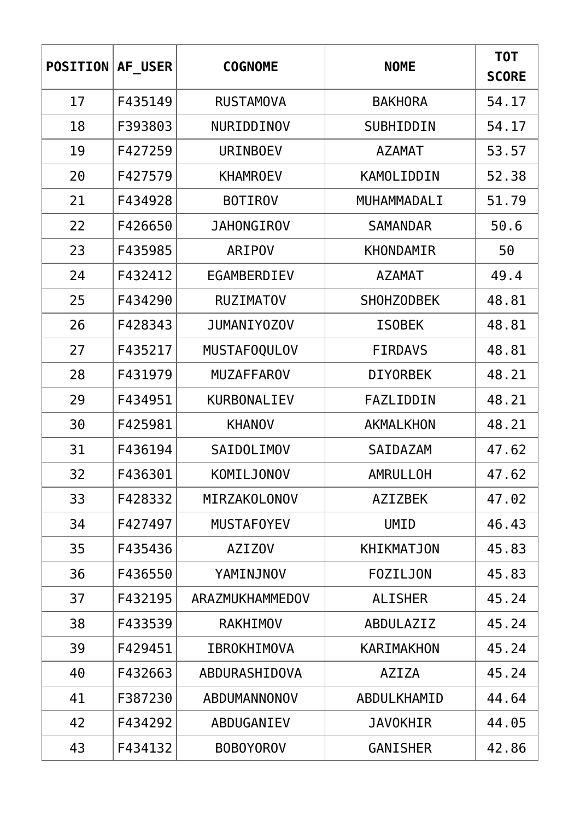| <b>POSITION</b> | AF USER | <b>COGNOME</b>      | <b>NOME</b>       | T0T<br><b>SCORE</b> |
|-----------------|---------|---------------------|-------------------|---------------------|
| 17              | F435149 | <b>RUSTAMOVA</b>    | <b>BAKHORA</b>    | 54.17               |
| 18              | F393803 | NURIDDINOV          | SUBHIDDIN         | 54.17               |
| 19              | F427259 | <b>URINBOEV</b>     | <b>AZAMAT</b>     | 53.57               |
| 20              | F427579 | <b>KHAMROEV</b>     | KAMOLIDDIN        | 52.38               |
| 21              | F434928 | <b>BOTIROV</b>      | MUHAMMADALI       | 51.79               |
| 22              | F426650 | <b>JAHONGIROV</b>   | <b>SAMANDAR</b>   | 50.6                |
| 23              | F435985 | ARIPOV              | KHONDAMIR         | 50                  |
| 24              | F432412 | EGAMBERDIEV         | <b>AZAMAT</b>     | 49.4                |
| 25              | F434290 | <b>RUZIMATOV</b>    | <b>SHOHZODBEK</b> | 48.81               |
| 26              | F428343 | JUMANIY0Z0V         | <b>ISOBEK</b>     | 48.81               |
| 27              | F435217 | <b>MUSTAFOQULOV</b> | <b>FIRDAVS</b>    | 48.81               |
| 28              | F431979 | <b>MUZAFFAROV</b>   | <b>DIYORBEK</b>   | 48.21               |
| 29              | F434951 | <b>KURBONALIEV</b>  | FAZLIDDIN         | 48.21               |
| 30              | F425981 | <b>KHANOV</b>       | <b>AKMALKHON</b>  | 48.21               |
| 31              | F436194 | <b>SAIDOLIMOV</b>   | SAIDAZAM          | 47.62               |
| 32              | F436301 | KOMILJONOV          | AMRULLOH          | 47.62               |
| 33              | F428332 | MIRZAKOLONOV        | <b>AZIZBEK</b>    | 47.02               |
| 34              | F427497 | <b>MUSTAFOYEV</b>   | <b>UMID</b>       | 46.43               |
| 35              | F435436 | <b>AZIZOV</b>       | <b>KHIKMATJON</b> | 45.83               |
| 36              | F436550 | YAMINJNOV           | <b>FOZILJON</b>   | 45.83               |
| 37              | F432195 | ARAZMUKHAMMEDOV     | <b>ALISHER</b>    | 45.24               |
| 38              | F433539 | <b>RAKHIMOV</b>     | ABDULAZIZ         | 45.24               |
| 39              | F429451 | <b>IBROKHIMOVA</b>  | KARIMAKHON        | 45.24               |
| 40              | F432663 | ABDURASHIDOVA       | <b>AZIZA</b>      | 45.24               |
| 41              | F387230 | ABDUMANNONOV        | ABDULKHAMID       | 44.64               |
| 42              | F434292 | ABDUGANIEV          | <b>JAVOKHIR</b>   | 44.05               |
| 43              | F434132 | <b>BOBOYOROV</b>    | <b>GANISHER</b>   | 42.86               |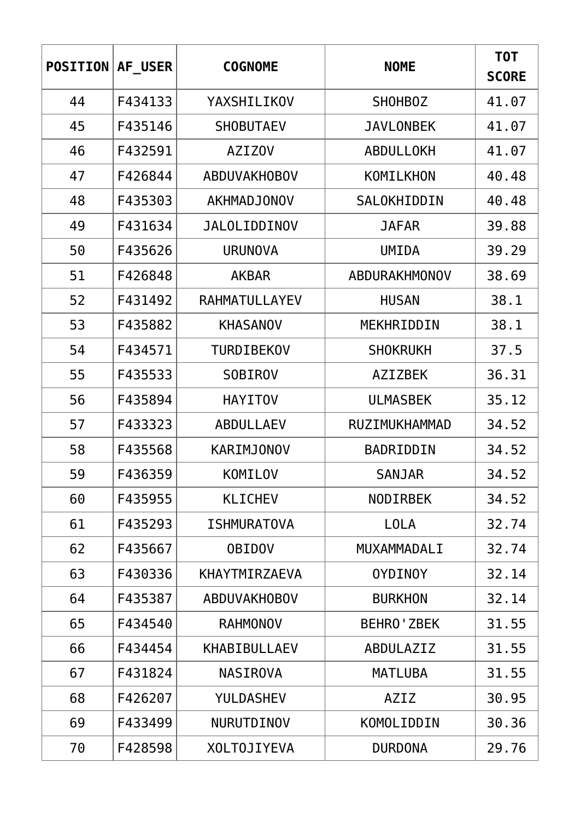| <b>POSITION</b> | AF USER | <b>COGNOME</b>       | <b>NOME</b>       | T0T<br><b>SCORE</b> |
|-----------------|---------|----------------------|-------------------|---------------------|
| 44              | F434133 | YAXSHILIKOV          | <b>SHOHBOZ</b>    | 41.07               |
| 45              | F435146 | <b>SHOBUTAEV</b>     | <b>JAVLONBEK</b>  | 41.07               |
| 46              | F432591 | <b>AZIZOV</b>        | ABDULLOKH         | 41.07               |
| 47              | F426844 | <b>ABDUVAKHOBOV</b>  | KOMILKHON         | 40.48               |
| 48              | F435303 | <b>AKHMADJONOV</b>   | SALOKHIDDIN       | 40.48               |
| 49              | F431634 | <b>JALOLIDDINOV</b>  | <b>JAFAR</b>      | 39.88               |
| 50              | F435626 | <b>URUNOVA</b>       | <b>UMIDA</b>      | 39.29               |
| 51              | F426848 | <b>AKBAR</b>         | ABDURAKHMONOV     | 38.69               |
| 52              | F431492 | RAHMATULLAYEV        | <b>HUSAN</b>      | 38.1                |
| 53              | F435882 | <b>KHASANOV</b>      | MEKHRIDDIN        | 38.1                |
| 54              | F434571 | TURDIBEKOV           | <b>SHOKRUKH</b>   | 37.5                |
| 55              | F435533 | <b>SOBIROV</b>       | <b>AZIZBEK</b>    | 36.31               |
| 56              | F435894 | <b>HAYITOV</b>       | <b>ULMASBEK</b>   | 35.12               |
| 57              | F433323 | <b>ABDULLAEV</b>     | RUZIMUKHAMMAD     | 34.52               |
| 58              | F435568 | <b>KARIMJONOV</b>    | BADRIDDIN         | 34.52               |
| 59              | F436359 | KOMILOV              | <b>SANJAR</b>     | 34.52               |
| 60              | F435955 | <b>KLICHEV</b>       | <b>NODIRBEK</b>   | 34.52               |
| 61              | F435293 | <b>ISHMURATOVA</b>   | <b>LOLA</b>       | 32.74               |
| 62              | F435667 | <b>OBIDOV</b>        | MUXAMMADALI       | 32.74               |
| 63              | F430336 | <b>KHAYTMIRZAEVA</b> | <b>OYDINOY</b>    | 32.14               |
| 64              | F435387 | <b>ABDUVAKHOBOV</b>  | <b>BURKHON</b>    | 32.14               |
| 65              | F434540 | <b>RAHMONOV</b>      | <b>BEHRO'ZBEK</b> | 31.55               |
| 66              | F434454 | <b>KHABIBULLAEV</b>  | ABDULAZIZ         | 31.55               |
| 67              | F431824 | <b>NASIROVA</b>      | <b>MATLUBA</b>    | 31.55               |
| 68              | F426207 | <b>YULDASHEV</b>     | AZIZ              | 30.95               |
| 69              | F433499 | <b>NURUTDINOV</b>    | <b>KOMOLIDDIN</b> | 30.36               |
| 70              | F428598 | <b>XOLTOJIYEVA</b>   | <b>DURDONA</b>    | 29.76               |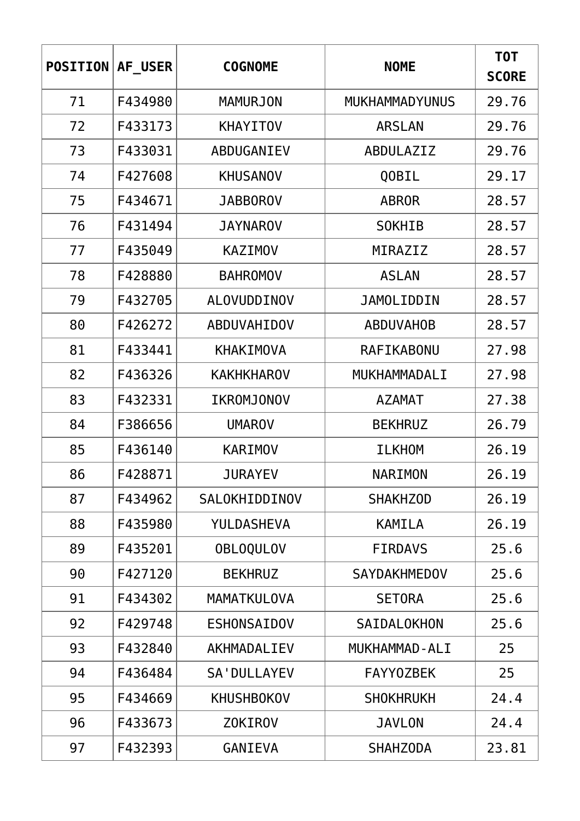| <b>POSITION</b> | AF USER | <b>COGNOME</b>      | <b>NOME</b>           | T0T<br><b>SCORE</b> |
|-----------------|---------|---------------------|-----------------------|---------------------|
| 71              | F434980 | <b>MAMURJON</b>     | <b>MUKHAMMADYUNUS</b> | 29.76               |
| 72              | F433173 | <b>KHAYITOV</b>     | <b>ARSLAN</b>         | 29.76               |
| 73              | F433031 | ABDUGANIEV          | ABDULAZIZ             | 29.76               |
| 74              | F427608 | <b>KHUSANOV</b>     | QOBIL                 | 29.17               |
| 75              | F434671 | <b>JABBOROV</b>     | <b>ABROR</b>          | 28.57               |
| 76              | F431494 | <b>JAYNAROV</b>     | <b>SOKHIB</b>         | 28.57               |
| 77              | F435049 | <b>KAZIMOV</b>      | MIRAZIZ               | 28.57               |
| 78              | F428880 | <b>BAHROMOV</b>     | <b>ASLAN</b>          | 28.57               |
| 79              | F432705 | ALOVUDDINOV         | <b>JAMOLIDDIN</b>     | 28.57               |
| 80              | F426272 | ABDUVAHIDOV         | <b>ABDUVAHOB</b>      | 28.57               |
| 81              | F433441 | <b>KHAKIMOVA</b>    | RAFIKABONU            | 27.98               |
| 82              | F436326 | <b>KAKHKHAROV</b>   | MUKHAMMADALI          | 27.98               |
| 83              | F432331 | IKROMJONOV          | <b>AZAMAT</b>         | 27.38               |
| 84              | F386656 | <b>UMAROV</b>       | <b>BEKHRUZ</b>        | 26.79               |
| 85              | F436140 | <b>KARIMOV</b>      | <b>ILKHOM</b>         | 26.19               |
| 86              | F428871 | <b>JURAYEV</b>      | NARIMON               | 26.19               |
| 87              | F434962 | SALOKHIDDINOV       | <b>SHAKHZOD</b>       | 26.19               |
| 88              | F435980 | YULDASHEVA          | <b>KAMILA</b>         | 26.19               |
| 89              | F435201 | <b>OBLOQULOV</b>    | <b>FIRDAVS</b>        | 25.6                |
| 90              | F427120 | <b>BEKHRUZ</b>      | <b>SAYDAKHMEDOV</b>   | 25.6                |
| 91              | F434302 | MAMATKULOVA         | <b>SETORA</b>         | 25.6                |
| 92              | F429748 | <b>ESHONSAIDOV</b>  | SAIDALOKHON           | 25.6                |
| 93              | F432840 | AKHMADALIEV         | MUKHAMMAD-ALI         | 25                  |
| 94              | F436484 | <b>SA' DULLAYEV</b> | <b>FAYYOZBEK</b>      | 25                  |
| 95              | F434669 | <b>KHUSHBOKOV</b>   | <b>SHOKHRUKH</b>      | 24.4                |
| 96              | F433673 | <b>ZOKIROV</b>      | <b>JAVLON</b>         | 24.4                |
| 97              | F432393 | GANIEVA             | <b>SHAHZODA</b>       | 23.81               |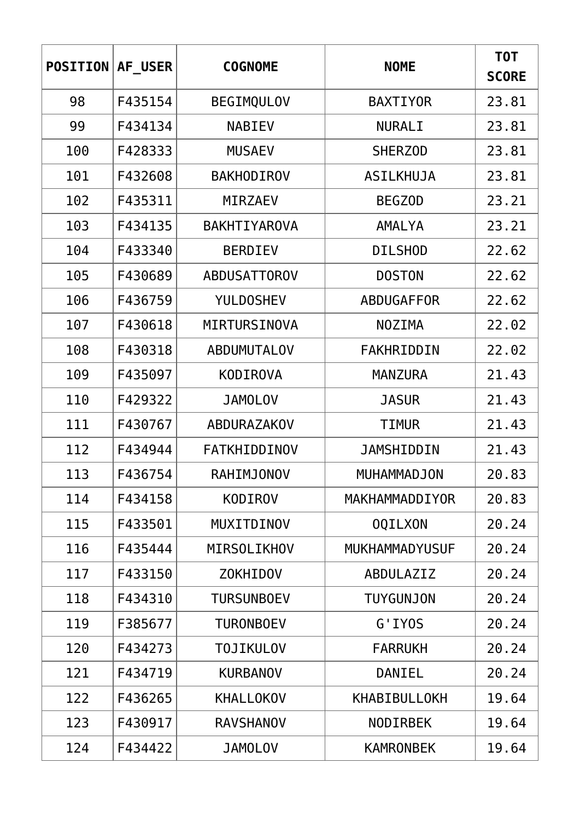| <b>POSITION</b> | AF USER | <b>COGNOME</b>      | <b>NOME</b>           | T0T<br><b>SCORE</b> |
|-----------------|---------|---------------------|-----------------------|---------------------|
| 98              | F435154 | <b>BEGIMQULOV</b>   | <b>BAXTIYOR</b>       | 23.81               |
| 99              | F434134 | <b>NABIEV</b>       | <b>NURALI</b>         | 23.81               |
| 100             | F428333 | <b>MUSAEV</b>       | <b>SHERZOD</b>        | 23.81               |
| 101             | F432608 | <b>BAKHODIROV</b>   | <b>ASILKHUJA</b>      | 23.81               |
| 102             | F435311 | MIRZAEV             | <b>BEGZOD</b>         | 23.21               |
| 103             | F434135 | <b>BAKHTIYAROVA</b> | AMALYA                | 23.21               |
| 104             | F433340 | <b>BERDIEV</b>      | <b>DILSHOD</b>        | 22.62               |
| 105             | F430689 | <b>ABDUSATTOROV</b> | <b>DOSTON</b>         | 22.62               |
| 106             | F436759 | <b>YULDOSHEV</b>    | ABDUGAFFOR            | 22.62               |
| 107             | F430618 | MIRTURSINOVA        | <b>NOZIMA</b>         | 22.02               |
| 108             | F430318 | <b>ABDUMUTALOV</b>  | FAKHRIDDIN            | 22.02               |
| 109             | F435097 | <b>KODIROVA</b>     | <b>MANZURA</b>        | 21.43               |
| 110             | F429322 | <b>JAMOLOV</b>      | <b>JASUR</b>          | 21.43               |
| 111             | F430767 | ABDURAZAKOV         | TIMUR                 | 21.43               |
| 112             | F434944 | <b>FATKHIDDINOV</b> | JAMSHIDDIN            | 21.43               |
| 113             | F436754 | RAHIMJONOV          | MUHAMMADJON           | 20.83               |
| 114             | F434158 | <b>KODIROV</b>      | MAKHAMMADDIYOR        | 20.83               |
| 115             | F433501 | MUXITDINOV          | <b>OQILXON</b>        | 20.24               |
| 116             | F435444 | MIRSOLIKHOV         | <b>MUKHAMMADYUSUF</b> | 20.24               |
| 117             | F433150 | <b>ZOKHIDOV</b>     | ABDULAZIZ             | 20.24               |
| 118             | F434310 | <b>TURSUNBOEV</b>   | <b>TUYGUNJON</b>      | 20.24               |
| 119             | F385677 | <b>TURONBOEV</b>    | G'IYOS                | 20.24               |
| 120             | F434273 | <b>TOJIKULOV</b>    | <b>FARRUKH</b>        | 20.24               |
| 121             | F434719 | <b>KURBANOV</b>     | DANIEL                | 20.24               |
| 122             | F436265 | <b>KHALLOKOV</b>    | KHABIBULLOKH          | 19.64               |
| 123             | F430917 | <b>RAVSHANOV</b>    | <b>NODIRBEK</b>       | 19.64               |
| 124             | F434422 | <b>JAMOLOV</b>      | <b>KAMRONBEK</b>      | 19.64               |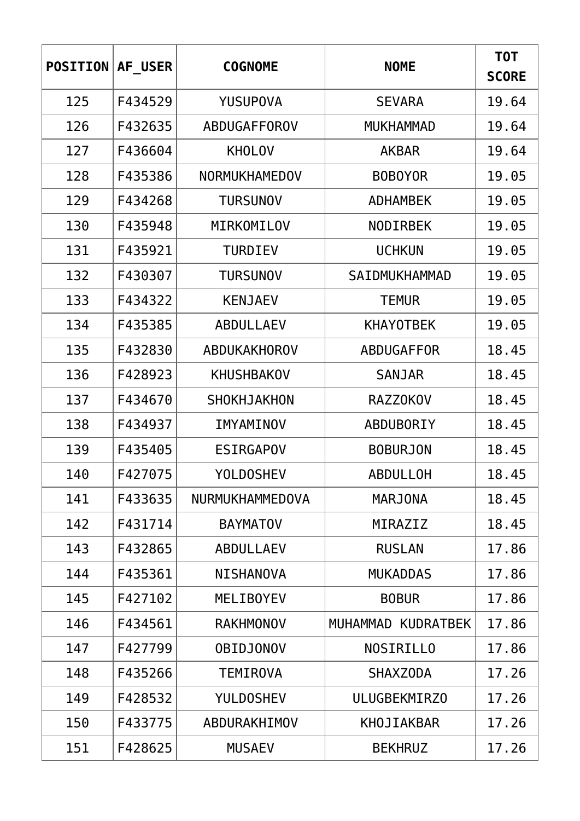| <b>POSITION</b> | AF USER | <b>COGNOME</b>       | <b>NOME</b>        | T0T<br><b>SCORE</b> |
|-----------------|---------|----------------------|--------------------|---------------------|
| 125             | F434529 | <b>YUSUPOVA</b>      | <b>SEVARA</b>      | 19.64               |
| 126             | F432635 | ABDUGAFFOROV         | <b>MUKHAMMAD</b>   | 19.64               |
| 127             | F436604 | <b>KHOLOV</b>        | <b>AKBAR</b>       | 19.64               |
| 128             | F435386 | <b>NORMUKHAMEDOV</b> | <b>BOBOYOR</b>     | 19.05               |
| 129             | F434268 | <b>TURSUNOV</b>      | <b>ADHAMBEK</b>    | 19.05               |
| 130             | F435948 | MIRKOMILOV           | <b>NODIRBEK</b>    | 19.05               |
| 131             | F435921 | <b>TURDIEV</b>       | <b>UCHKUN</b>      | 19.05               |
| 132             | F430307 | <b>TURSUNOV</b>      | SAIDMUKHAMMAD      | 19.05               |
| 133             | F434322 | <b>KENJAEV</b>       | <b>TEMUR</b>       | 19.05               |
| 134             | F435385 | <b>ABDULLAEV</b>     | <b>KHAYOTBEK</b>   | 19.05               |
| 135             | F432830 | ABDUKAKHOROV         | ABDUGAFFOR         | 18.45               |
| 136             | F428923 | <b>KHUSHBAKOV</b>    | <b>SANJAR</b>      | 18.45               |
| 137             | F434670 | <b>SHOKHJAKHON</b>   | <b>RAZZOKOV</b>    | 18.45               |
| 138             | F434937 | IMYAMINOV            | <b>ABDUBORIY</b>   | 18.45               |
| 139             | F435405 | <b>ESIRGAPOV</b>     | <b>BOBURJON</b>    | 18.45               |
| 140             | F427075 | <b>YOLDOSHEV</b>     | ABDULLOH           | 18.45               |
| 141             | F433635 | NURMUKHAMMEDOVA      | <b>MARJONA</b>     | 18.45               |
| 142             | F431714 | <b>BAYMATOV</b>      | MIRAZIZ            | 18.45               |
| 143             | F432865 | <b>ABDULLAEV</b>     | <b>RUSLAN</b>      | 17.86               |
| 144             | F435361 | <b>NISHANOVA</b>     | <b>MUKADDAS</b>    | 17.86               |
| 145             | F427102 | <b>MELIBOYEV</b>     | <b>BOBUR</b>       | 17.86               |
| 146             | F434561 | <b>RAKHMONOV</b>     | MUHAMMAD KUDRATBEK | 17.86               |
| 147             | F427799 | <b>OBIDJONOV</b>     | <b>NOSIRILLO</b>   | 17.86               |
| 148             | F435266 | <b>TEMIROVA</b>      | <b>SHAXZODA</b>    | 17.26               |
| 149             | F428532 | <b>YULDOSHEV</b>     | ULUGBEKMIRZ0       | 17.26               |
| 150             | F433775 | ABDURAKHIMOV         | KHOJIAKBAR         | 17.26               |
| 151             | F428625 | <b>MUSAEV</b>        | <b>BEKHRUZ</b>     | 17.26               |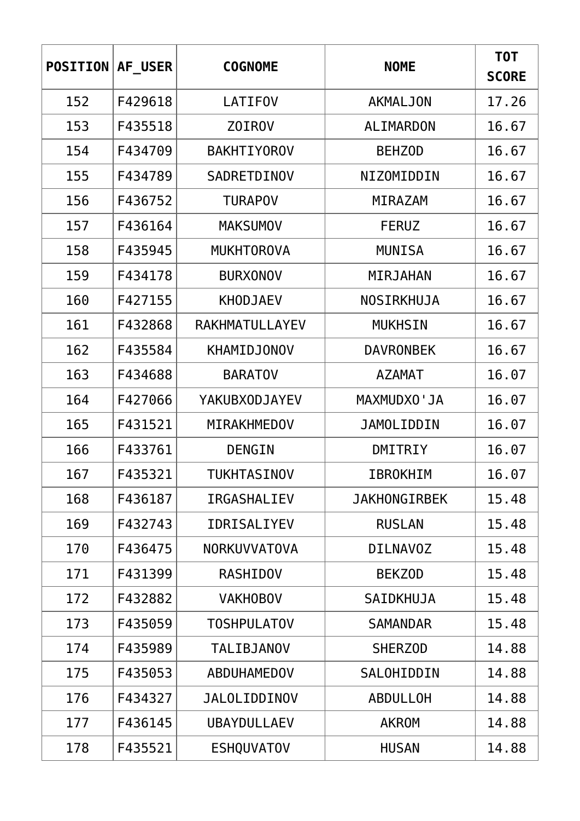| <b>POSITION</b> | AF USER | <b>COGNOME</b>       | <b>NOME</b>         | T0T<br><b>SCORE</b> |
|-----------------|---------|----------------------|---------------------|---------------------|
| 152             | F429618 | <b>LATIFOV</b>       | <b>AKMALJON</b>     | 17.26               |
| 153             | F435518 | Z0IR0V               | <b>ALIMARDON</b>    | 16.67               |
| 154             | F434709 | <b>BAKHTIYOROV</b>   | <b>BEHZOD</b>       | 16.67               |
| 155             | F434789 | SADRETDINOV          | NIZOMIDDIN          | 16.67               |
| 156             | F436752 | <b>TURAPOV</b>       | MIRAZAM             | 16.67               |
| 157             | F436164 | <b>MAKSUMOV</b>      | <b>FERUZ</b>        | 16.67               |
| 158             | F435945 | <b>MUKHTOROVA</b>    | <b>MUNISA</b>       | 16.67               |
| 159             | F434178 | <b>BURXONOV</b>      | MIRJAHAN            | 16.67               |
| 160             | F427155 | <b>KHODJAEV</b>      | NOSIRKHUJA          | 16.67               |
| 161             | F432868 | RAKHMATULLAYEV       | <b>MUKHSIN</b>      | 16.67               |
| 162             | F435584 | <b>KHAMIDJONOV</b>   | <b>DAVRONBEK</b>    | 16.67               |
| 163             | F434688 | <b>BARATOV</b>       | <b>AZAMAT</b>       | 16.07               |
| 164             | F427066 | <b>YAKUBXODJAYEV</b> | MAXMUDXO'JA         | 16.07               |
| 165             | F431521 | MIRAKHMEDOV          | <b>JAMOLIDDIN</b>   | 16.07               |
| 166             | F433761 | DENGIN               | DMITRIY             | 16.07               |
| 167             | F435321 | <b>TUKHTASINOV</b>   | IBROKHIM            | 16.07               |
| 168             | F436187 | <b>IRGASHALIEV</b>   | <b>JAKHONGIRBEK</b> | 15.48               |
| 169             | F432743 | <b>IDRISALIYEV</b>   | <b>RUSLAN</b>       | 15.48               |
| 170             | F436475 | <b>NORKUVVATOVA</b>  | <b>DILNAVOZ</b>     | 15.48               |
| 171             | F431399 | <b>RASHIDOV</b>      | <b>BEKZOD</b>       | 15.48               |
| 172             | F432882 | <b>VAKHOBOV</b>      | <b>SAIDKHUJA</b>    | 15.48               |
| 173             | F435059 | <b>TOSHPULATOV</b>   | <b>SAMANDAR</b>     | 15.48               |
| 174             | F435989 | <b>TALIBJANOV</b>    | <b>SHERZOD</b>      | 14.88               |
| 175             | F435053 | ABDUHAMEDOV          | SALOHIDDIN          | 14.88               |
| 176             | F434327 | <b>JALOLIDDINOV</b>  | <b>ABDULLOH</b>     | 14.88               |
| 177             | F436145 | <b>UBAYDULLAEV</b>   | <b>AKROM</b>        | 14.88               |
| 178             | F435521 | <b>ESHQUVATOV</b>    | <b>HUSAN</b>        | 14.88               |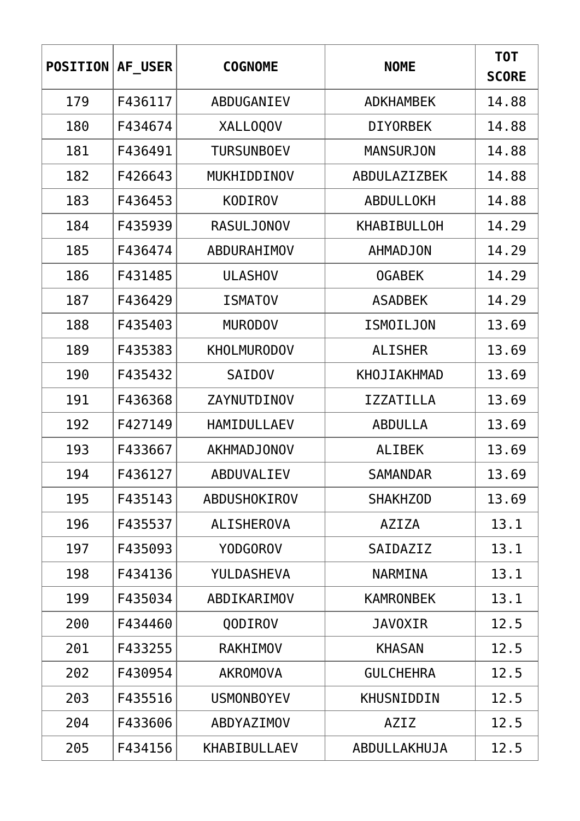| <b>POSITION</b> | AF USER | <b>COGNOME</b>      | <b>NOME</b>        | <b>TOT</b><br><b>SCORE</b> |
|-----------------|---------|---------------------|--------------------|----------------------------|
| 179             | F436117 | ABDUGANIEV          | <b>ADKHAMBEK</b>   | 14.88                      |
| 180             | F434674 | XALLOQOV            | <b>DIYORBEK</b>    | 14.88                      |
| 181             | F436491 | <b>TURSUNBOEV</b>   | <b>MANSURJON</b>   | 14.88                      |
| 182             | F426643 | MUKHIDDINOV         | ABDULAZIZBEK       | 14.88                      |
| 183             | F436453 | <b>KODIROV</b>      | ABDULLOKH          | 14.88                      |
| 184             | F435939 | <b>RASULJONOV</b>   | <b>KHABIBULLOH</b> | 14.29                      |
| 185             | F436474 | ABDURAHIMOV         | <b>AHMADJON</b>    | 14.29                      |
| 186             | F431485 | <b>ULASHOV</b>      | <b>OGABEK</b>      | 14.29                      |
| 187             | F436429 | <b>ISMATOV</b>      | <b>ASADBEK</b>     | 14.29                      |
| 188             | F435403 | <b>MURODOV</b>      | <b>ISMOILJON</b>   | 13.69                      |
| 189             | F435383 | <b>KHOLMURODOV</b>  | <b>ALISHER</b>     | 13.69                      |
| 190             | F435432 | <b>SAIDOV</b>       | KHOJIAKHMAD        | 13.69                      |
| 191             | F436368 | ZAYNUTDINOV         | <b>IZZATILLA</b>   | 13.69                      |
| 192             | F427149 | HAMIDULLAEV         | <b>ABDULLA</b>     | 13.69                      |
| 193             | F433667 | AKHMADJONOV         | <b>ALIBEK</b>      | 13.69                      |
| 194             | F436127 | ABDUVALIEV          | <b>SAMANDAR</b>    | 13.69                      |
| 195             | F435143 | ABDUSHOKIROV        | <b>SHAKHZOD</b>    | 13.69                      |
| 196             | F435537 | <b>ALISHEROVA</b>   | AZIZA              | 13.1                       |
| 197             | F435093 | <b>YODGOROV</b>     | SAIDAZIZ           | 13.1                       |
| 198             | F434136 | YULDASHEVA          | <b>NARMINA</b>     | 13.1                       |
| 199             | F435034 | ABDIKARIMOV         | <b>KAMRONBEK</b>   | 13.1                       |
| 200             | F434460 | QODIROV             | <b>JAVOXIR</b>     | 12.5                       |
| 201             | F433255 | <b>RAKHIMOV</b>     | <b>KHASAN</b>      | 12.5                       |
| 202             | F430954 | <b>AKROMOVA</b>     | <b>GULCHEHRA</b>   | 12.5                       |
| 203             | F435516 | <b>USMONBOYEV</b>   | KHUSNIDDIN         | 12.5                       |
| 204             | F433606 | ABDYAZIMOV          | <b>AZIZ</b>        | 12.5                       |
| 205             | F434156 | <b>KHABIBULLAEV</b> | ABDULLAKHUJA       | 12.5                       |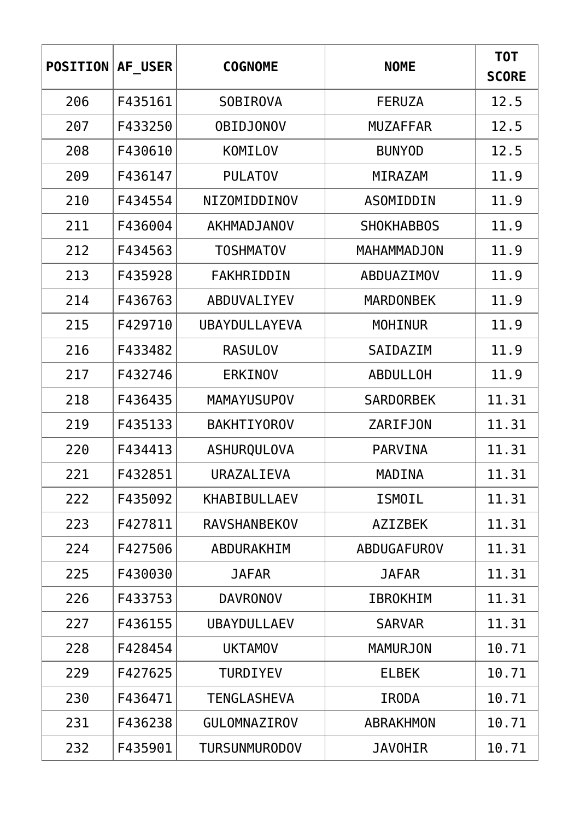| <b>POSITION</b> | AF USER | <b>COGNOME</b>       | <b>NOME</b>       | T0T<br><b>SCORE</b> |
|-----------------|---------|----------------------|-------------------|---------------------|
| 206             | F435161 | <b>SOBIROVA</b>      | <b>FERUZA</b>     | 12.5                |
| 207             | F433250 | <b>OBIDJONOV</b>     | <b>MUZAFFAR</b>   | 12.5                |
| 208             | F430610 | KOMILOV              | <b>BUNYOD</b>     | 12.5                |
| 209             | F436147 | <b>PULATOV</b>       | <b>MIRAZAM</b>    | 11.9                |
| 210             | F434554 | NIZOMIDDINOV         | ASOMIDDIN         | 11.9                |
| 211             | F436004 | AKHMADJANOV          | <b>SHOKHABBOS</b> | 11.9                |
| 212             | F434563 | <b>TOSHMATOV</b>     | MAHAMMADJON       | 11.9                |
| 213             | F435928 | FAKHRIDDIN           | <b>ABDUAZIMOV</b> | 11.9                |
| 214             | F436763 | ABDUVALIYEV          | <b>MARDONBEK</b>  | 11.9                |
| 215             | F429710 | UBAYDULLAYEVA        | <b>MOHINUR</b>    | 11.9                |
| 216             | F433482 | <b>RASULOV</b>       | SAIDAZIM          | 11.9                |
| 217             | F432746 | <b>ERKINOV</b>       | <b>ABDULLOH</b>   | 11.9                |
| 218             | F436435 | <b>MAMAYUSUPOV</b>   | <b>SARDORBEK</b>  | 11.31               |
| 219             | F435133 | <b>BAKHTIYOROV</b>   | <b>ZARIFJON</b>   | 11.31               |
| 220             | F434413 | ASHURQULOVA          | <b>PARVINA</b>    | 11.31               |
| 221             | F432851 | URAZALIEVA           | MADINA            | 11.31               |
| 222             | F435092 | <b>KHABIBULLAEV</b>  | <b>ISMOIL</b>     | 11.31               |
| 223             | F427811 | <b>RAVSHANBEKOV</b>  | <b>AZIZBEK</b>    | 11.31               |
| 224             | F427506 | ABDURAKHIM           | ABDUGAFUROV       | 11.31               |
| 225             | F430030 | <b>JAFAR</b>         | <b>JAFAR</b>      | 11.31               |
| 226             | F433753 | <b>DAVRONOV</b>      | <b>IBROKHIM</b>   | 11.31               |
| 227             | F436155 | <b>UBAYDULLAEV</b>   | <b>SARVAR</b>     | 11.31               |
| 228             | F428454 | <b>UKTAMOV</b>       | <b>MAMURJON</b>   | 10.71               |
| 229             | F427625 | <b>TURDIYEV</b>      | <b>ELBEK</b>      | 10.71               |
| 230             | F436471 | <b>TENGLASHEVA</b>   | <b>IRODA</b>      | 10.71               |
| 231             | F436238 | <b>GULOMNAZIROV</b>  | <b>ABRAKHMON</b>  | 10.71               |
| 232             | F435901 | <b>TURSUNMURODOV</b> | <b>JAVOHIR</b>    | 10.71               |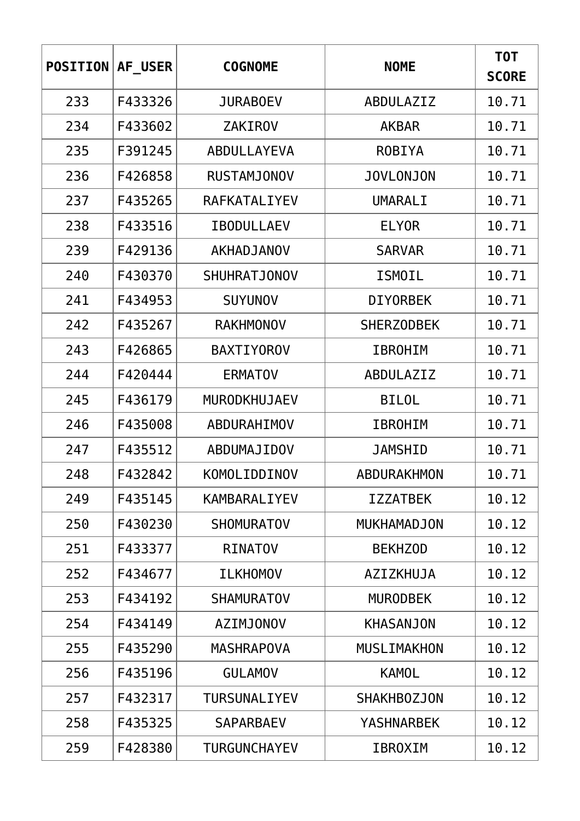| <b>POSITION</b> | AF USER | <b>COGNOME</b>      | <b>NOME</b>        | T0T<br><b>SCORE</b> |
|-----------------|---------|---------------------|--------------------|---------------------|
| 233             | F433326 | <b>JURABOEV</b>     | ABDULAZIZ          | 10.71               |
| 234             | F433602 | <b>ZAKIROV</b>      | <b>AKBAR</b>       | 10.71               |
| 235             | F391245 | <b>ABDULLAYEVA</b>  | <b>ROBIYA</b>      | 10.71               |
| 236             | F426858 | <b>RUSTAMJONOV</b>  | <b>JOVLONJON</b>   | 10.71               |
| 237             | F435265 | RAFKATALIYEV        | UMARALI            | 10.71               |
| 238             | F433516 | <b>IBODULLAEV</b>   | <b>ELYOR</b>       | 10.71               |
| 239             | F429136 | <b>AKHADJANOV</b>   | <b>SARVAR</b>      | 10.71               |
| 240             | F430370 | <b>SHUHRATJONOV</b> | <b>ISMOIL</b>      | 10.71               |
| 241             | F434953 | <b>SUYUNOV</b>      | <b>DIYORBEK</b>    | 10.71               |
| 242             | F435267 | <b>RAKHMONOV</b>    | <b>SHERZODBEK</b>  | 10.71               |
| 243             | F426865 | <b>BAXTIYOROV</b>   | <b>IBROHIM</b>     | 10.71               |
| 244             | F420444 | <b>ERMATOV</b>      | ABDULAZIZ          | 10.71               |
| 245             | F436179 | MURODKHUJAEV        | <b>BILOL</b>       | 10.71               |
| 246             | F435008 | ABDURAHIMOV         | <b>IBROHIM</b>     | 10.71               |
| 247             | F435512 | ABDUMAJIDOV         | <b>JAMSHID</b>     | 10.71               |
| 248             | F432842 | KOMOLIDDINOV        | ABDURAKHMON        | 10.71               |
| 249             | F435145 | KAMBARALIYEV        | <b>IZZATBEK</b>    | 10.12               |
| 250             | F430230 | <b>SHOMURATOV</b>   | <b>MUKHAMADJON</b> | 10.12               |
| 251             | F433377 | <b>RINATOV</b>      | <b>BEKHZOD</b>     | 10.12               |
| 252             | F434677 | <b>ILKHOMOV</b>     | AZIZKHUJA          | 10.12               |
| 253             | F434192 | <b>SHAMURATOV</b>   | <b>MURODBEK</b>    | 10.12               |
| 254             | F434149 | <b>AZIMJONOV</b>    | <b>KHASANJON</b>   | 10.12               |
| 255             | F435290 | <b>MASHRAPOVA</b>   | <b>MUSLIMAKHON</b> | 10.12               |
| 256             | F435196 | <b>GULAMOV</b>      | <b>KAMOL</b>       | 10.12               |
| 257             | F432317 | TURSUNALIYEV        | <b>SHAKHBOZJON</b> | 10.12               |
| 258             | F435325 | <b>SAPARBAEV</b>    | <b>YASHNARBEK</b>  | 10.12               |
| 259             | F428380 | <b>TURGUNCHAYEV</b> | <b>IBROXIM</b>     | 10.12               |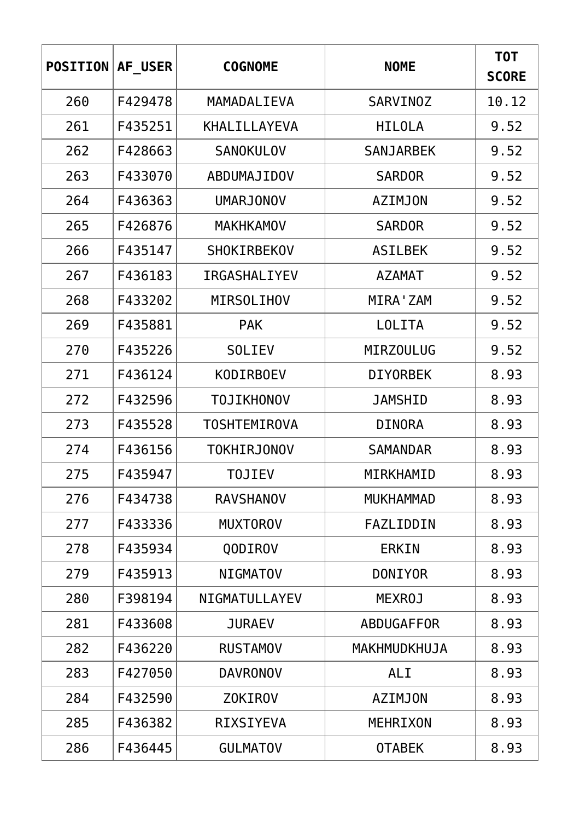| <b>POSITION</b> | AF USER | <b>COGNOME</b>      | <b>NOME</b>      | T0T<br><b>SCORE</b> |
|-----------------|---------|---------------------|------------------|---------------------|
| 260             | F429478 | MAMADALIEVA         | <b>SARVINOZ</b>  | 10.12               |
| 261             | F435251 | <b>KHALILLAYEVA</b> | <b>HILOLA</b>    | 9.52                |
| 262             | F428663 | <b>SANOKULOV</b>    | <b>SANJARBEK</b> | 9.52                |
| 263             | F433070 | ABDUMAJIDOV         | <b>SARDOR</b>    | 9.52                |
| 264             | F436363 | <b>UMARJONOV</b>    | <b>AZIMJON</b>   | 9.52                |
| 265             | F426876 | <b>MAKHKAMOV</b>    | <b>SARDOR</b>    | 9.52                |
| 266             | F435147 | <b>SHOKIRBEKOV</b>  | <b>ASILBEK</b>   | 9.52                |
| 267             | F436183 | <b>IRGASHALIYEV</b> | <b>AZAMAT</b>    | 9.52                |
| 268             | F433202 | <b>MIRSOLIHOV</b>   | MIRA ' ZAM       | 9.52                |
| 269             | F435881 | <b>PAK</b>          | <b>LOLITA</b>    | 9.52                |
| 270             | F435226 | <b>SOLIEV</b>       | <b>MIRZOULUG</b> | 9.52                |
| 271             | F436124 | <b>KODIRBOEV</b>    | <b>DIYORBEK</b>  | 8.93                |
| 272             | F432596 | <b>TOJIKHONOV</b>   | JAMSHID          | 8.93                |
| 273             | F435528 | <b>TOSHTEMIROVA</b> | <b>DINORA</b>    | 8.93                |
| 274             | F436156 | <b>TOKHIRJONOV</b>  | <b>SAMANDAR</b>  | 8.93                |
| 275             | F435947 | TOJIEV              | MIRKHAMID        | 8.93                |
| 276             | F434738 | <b>RAVSHANOV</b>    | <b>MUKHAMMAD</b> | 8.93                |
| 277             | F433336 | <b>MUXTOROV</b>     | FAZLIDDIN        | 8.93                |
| 278             | F435934 | QODIROV             | <b>ERKIN</b>     | 8.93                |
| 279             | F435913 | <b>NIGMATOV</b>     | <b>DONIYOR</b>   | 8.93                |
| 280             | F398194 | NIGMATULLAYEV       | <b>MEXROJ</b>    | 8.93                |
| 281             | F433608 | <b>JURAEV</b>       | ABDUGAFFOR       | 8.93                |
| 282             | F436220 | <b>RUSTAMOV</b>     | MAKHMUDKHUJA     | 8.93                |
| 283             | F427050 | <b>DAVRONOV</b>     | <b>ALI</b>       | 8.93                |
| 284             | F432590 | <b>ZOKIROV</b>      | <b>AZIMJON</b>   | 8.93                |
| 285             | F436382 | <b>RIXSIYEVA</b>    | <b>MEHRIXON</b>  | 8.93                |
| 286             | F436445 | <b>GULMATOV</b>     | <b>OTABEK</b>    | 8.93                |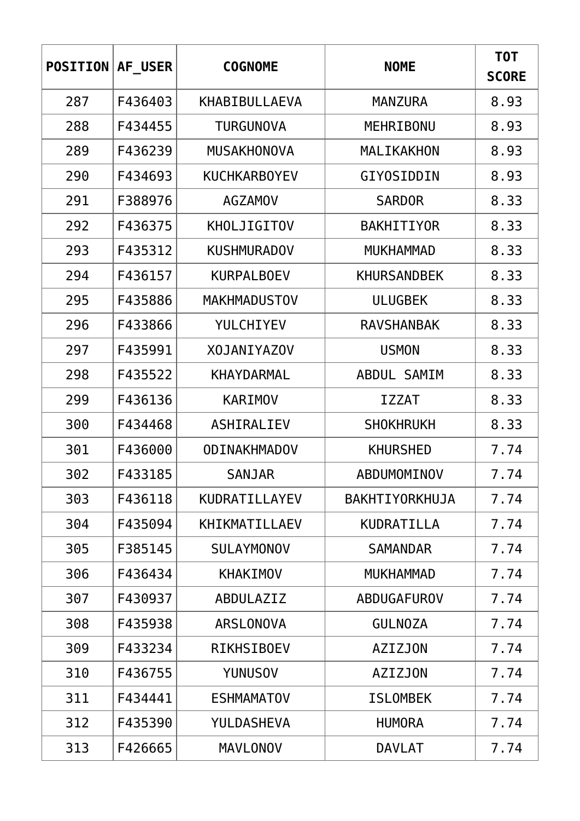| <b>POSITION</b> | AF USER | <b>COGNOME</b>       | <b>NOME</b>        | T0T<br><b>SCORE</b> |
|-----------------|---------|----------------------|--------------------|---------------------|
| 287             | F436403 | <b>KHABIBULLAEVA</b> | <b>MANZURA</b>     | 8.93                |
| 288             | F434455 | <b>TURGUNOVA</b>     | MEHRIBONU          | 8.93                |
| 289             | F436239 | <b>MUSAKHONOVA</b>   | MALIKAKHON         | 8.93                |
| 290             | F434693 | <b>KUCHKARBOYEV</b>  | GIYOSIDDIN         | 8.93                |
| 291             | F388976 | <b>AGZAMOV</b>       | <b>SARDOR</b>      | 8.33                |
| 292             | F436375 | KHOLJIGITOV          | <b>BAKHITIYOR</b>  | 8.33                |
| 293             | F435312 | <b>KUSHMURADOV</b>   | <b>MUKHAMMAD</b>   | 8.33                |
| 294             | F436157 | <b>KURPALBOEV</b>    | <b>KHURSANDBEK</b> | 8.33                |
| 295             | F435886 | <b>MAKHMADUSTOV</b>  | <b>ULUGBEK</b>     | 8.33                |
| 296             | F433866 | YULCHIYEV            | <b>RAVSHANBAK</b>  | 8.33                |
| 297             | F435991 | <b>XOJANIYAZOV</b>   | <b>USMON</b>       | 8.33                |
| 298             | F435522 | <b>KHAYDARMAL</b>    | ABDUL SAMIM        | 8.33                |
| 299             | F436136 | <b>KARIMOV</b>       | <b>IZZAT</b>       | 8.33                |
| 300             | F434468 | ASHIRALIEV           | <b>SHOKHRUKH</b>   | 8.33                |
| 301             | F436000 | <b>ODINAKHMADOV</b>  | <b>KHURSHED</b>    | 7.74                |
| 302             | F433185 | <b>SANJAR</b>        | ABDUMOMINOV        | 7.74                |
| 303             | F436118 | KUDRATILLAYEV        | BAKHTIYORKHUJA     | 7.74                |
| 304             | F435094 | KHIKMATILLAEV        | KUDRATILLA         | 7.74                |
| 305             | F385145 | <b>SULAYMONOV</b>    | <b>SAMANDAR</b>    | 7.74                |
| 306             | F436434 | <b>KHAKIMOV</b>      | <b>MUKHAMMAD</b>   | 7.74                |
| 307             | F430937 | ABDULAZIZ            | ABDUGAFUROV        | 7.74                |
| 308             | F435938 | <b>ARSLONOVA</b>     | <b>GULNOZA</b>     | 7.74                |
| 309             | F433234 | <b>RIKHSIBOEV</b>    | <b>AZIZJON</b>     | 7.74                |
| 310             | F436755 | <b>YUNUSOV</b>       | <b>AZIZJON</b>     | 7.74                |
| 311             | F434441 | <b>ESHMAMATOV</b>    | <b>ISLOMBEK</b>    | 7.74                |
| 312             | F435390 | YULDASHEVA           | <b>HUMORA</b>      | 7.74                |
| 313             | F426665 | <b>MAVLONOV</b>      | <b>DAVLAT</b>      | 7.74                |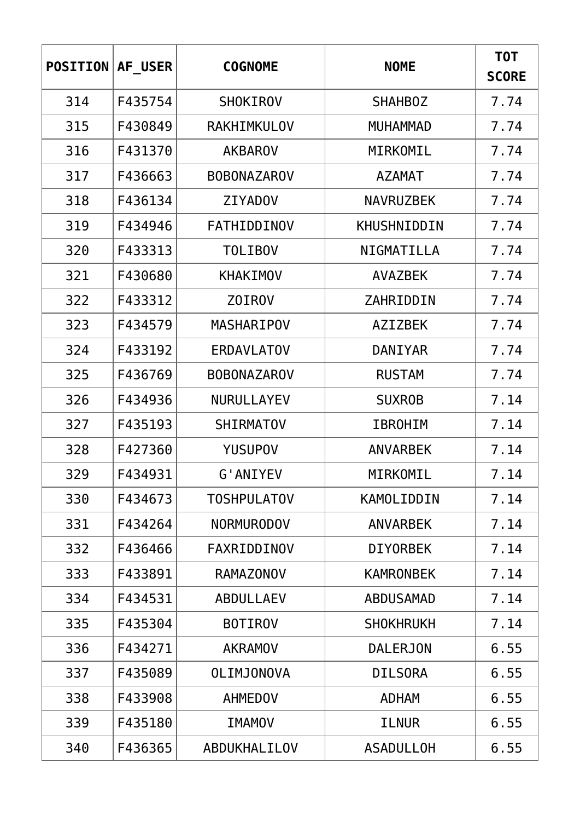| <b>POSITION</b> | AF USER | <b>COGNOME</b>     | <b>NOME</b>      | T0T<br><b>SCORE</b> |
|-----------------|---------|--------------------|------------------|---------------------|
| 314             | F435754 | <b>SHOKIROV</b>    | <b>SHAHBOZ</b>   | 7.74                |
| 315             | F430849 | RAKHIMKULOV        | <b>MUHAMMAD</b>  | 7.74                |
| 316             | F431370 | <b>AKBAROV</b>     | MIRKOMIL         | 7.74                |
| 317             | F436663 | <b>BOBONAZAROV</b> | <b>AZAMAT</b>    | 7.74                |
| 318             | F436134 | <b>ZIYADOV</b>     | <b>NAVRUZBEK</b> | 7.74                |
| 319             | F434946 | <b>FATHIDDINOV</b> | KHUSHNIDDIN      | 7.74                |
| 320             | F433313 | <b>TOLIBOV</b>     | NIGMATILLA       | 7.74                |
| 321             | F430680 | <b>KHAKIMOV</b>    | <b>AVAZBEK</b>   | 7.74                |
| 322             | F433312 | <b>ZOIROV</b>      | ZAHRIDDIN        | 7.74                |
| 323             | F434579 | <b>MASHARIPOV</b>  | <b>AZIZBEK</b>   | 7.74                |
| 324             | F433192 | <b>ERDAVLATOV</b>  | DANIYAR          | 7.74                |
| 325             | F436769 | <b>BOBONAZAROV</b> | <b>RUSTAM</b>    | 7.74                |
| 326             | F434936 | NURULLAYEV         | <b>SUXROB</b>    | 7.14                |
| 327             | F435193 | <b>SHIRMATOV</b>   | <b>IBROHIM</b>   | 7.14                |
| 328             | F427360 | <b>YUSUPOV</b>     | <b>ANVARBEK</b>  | 7.14                |
| 329             | F434931 | G'ANIYEV           | MIRKOMIL         | 7.14                |
| 330             | F434673 | <b>TOSHPULATOV</b> | KAMOLIDDIN       | 7.14                |
| 331             | F434264 | <b>NORMURODOV</b>  | <b>ANVARBEK</b>  | 7.14                |
| 332             | F436466 | FAXRIDDINOV        | <b>DIYORBEK</b>  | 7.14                |
| 333             | F433891 | <b>RAMAZONOV</b>   | <b>KAMRONBEK</b> | 7.14                |
| 334             | F434531 | <b>ABDULLAEV</b>   | <b>ABDUSAMAD</b> | 7.14                |
| 335             | F435304 | <b>BOTIROV</b>     | <b>SHOKHRUKH</b> | 7.14                |
| 336             | F434271 | <b>AKRAMOV</b>     | <b>DALERJON</b>  | 6.55                |
| 337             | F435089 | <b>OLIMJONOVA</b>  | <b>DILSORA</b>   | 6.55                |
| 338             | F433908 | <b>AHMEDOV</b>     | <b>ADHAM</b>     | 6.55                |
| 339             | F435180 | <b>IMAMOV</b>      | ILNUR            | 6.55                |
| 340             | F436365 | ABDUKHALILOV       | <b>ASADULLOH</b> | 6.55                |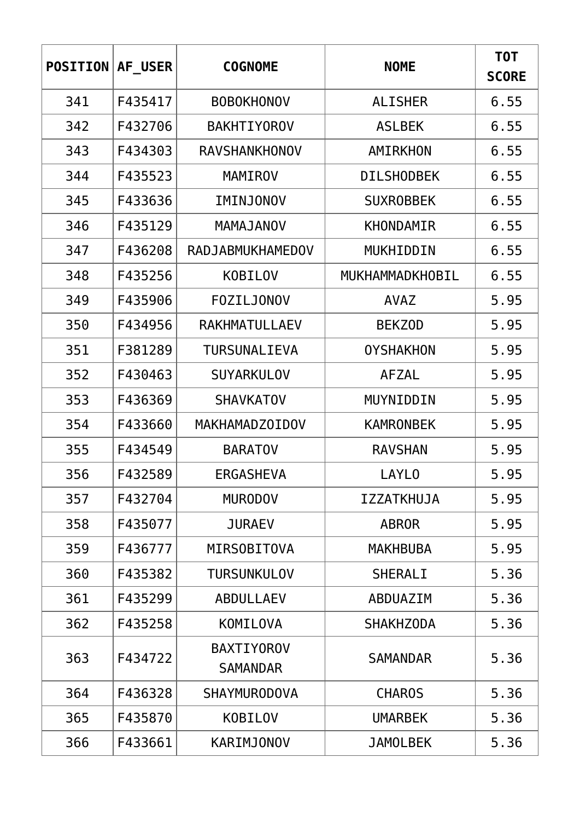| <b>POSITION</b> | AF USER | <b>COGNOME</b>                       | <b>NOME</b>       | <b>TOT</b><br><b>SCORE</b> |
|-----------------|---------|--------------------------------------|-------------------|----------------------------|
| 341             | F435417 | <b>BOBOKHONOV</b>                    | <b>ALISHER</b>    | 6.55                       |
| 342             | F432706 | <b>BAKHTIYOROV</b>                   | <b>ASLBEK</b>     | 6.55                       |
| 343             | F434303 | <b>RAVSHANKHONOV</b>                 | AMIRKHON          | 6.55                       |
| 344             | F435523 | <b>MAMIROV</b>                       | <b>DILSHODBEK</b> | 6.55                       |
| 345             | F433636 | IMINJONOV                            | <b>SUXROBBEK</b>  | 6.55                       |
| 346             | F435129 | MAMAJANOV                            | KHONDAMIR         | 6.55                       |
| 347             | F436208 | RADJABMUKHAMEDOV                     | MUKHIDDIN         | 6.55                       |
| 348             | F435256 | <b>KOBILOV</b>                       | MUKHAMMADKHOBIL   | 6.55                       |
| 349             | F435906 | <b>FOZILJONOV</b>                    | <b>AVAZ</b>       | 5.95                       |
| 350             | F434956 | RAKHMATULLAEV                        | <b>BEKZOD</b>     | 5.95                       |
| 351             | F381289 | <b>TURSUNALIEVA</b>                  | <b>OYSHAKHON</b>  | 5.95                       |
| 352             | F430463 | <b>SUYARKULOV</b>                    | <b>AFZAL</b>      | 5.95                       |
| 353             | F436369 | <b>SHAVKATOV</b>                     | MUYNIDDIN         | 5.95                       |
| 354             | F433660 | MAKHAMADZOIDOV                       | <b>KAMRONBEK</b>  | 5.95                       |
| 355             | F434549 | <b>BARATOV</b>                       | <b>RAVSHAN</b>    | 5.95                       |
| 356             | F432589 | <b>ERGASHEVA</b>                     | <b>LAYLO</b>      | 5.95                       |
| 357             | F432704 | <b>MURODOV</b>                       | <b>IZZATKHUJA</b> | 5.95                       |
| 358             | F435077 | <b>JURAEV</b>                        | <b>ABROR</b>      | 5.95                       |
| 359             | F436777 | <b>MIRSOBITOVA</b>                   | <b>MAKHBUBA</b>   | 5.95                       |
| 360             | F435382 | <b>TURSUNKULOV</b>                   | <b>SHERALI</b>    | 5.36                       |
| 361             | F435299 | <b>ABDULLAEV</b>                     | ABDUAZIM          | 5.36                       |
| 362             | F435258 | <b>KOMILOVA</b>                      | <b>SHAKHZODA</b>  | 5.36                       |
| 363             | F434722 | <b>BAXTIYOROV</b><br><b>SAMANDAR</b> | <b>SAMANDAR</b>   | 5.36                       |
| 364             | F436328 | <b>SHAYMURODOVA</b>                  | <b>CHAROS</b>     | 5.36                       |
| 365             | F435870 | <b>KOBILOV</b>                       | <b>UMARBEK</b>    | 5.36                       |
| 366             | F433661 | <b>KARIMJONOV</b>                    | <b>JAMOLBEK</b>   | 5.36                       |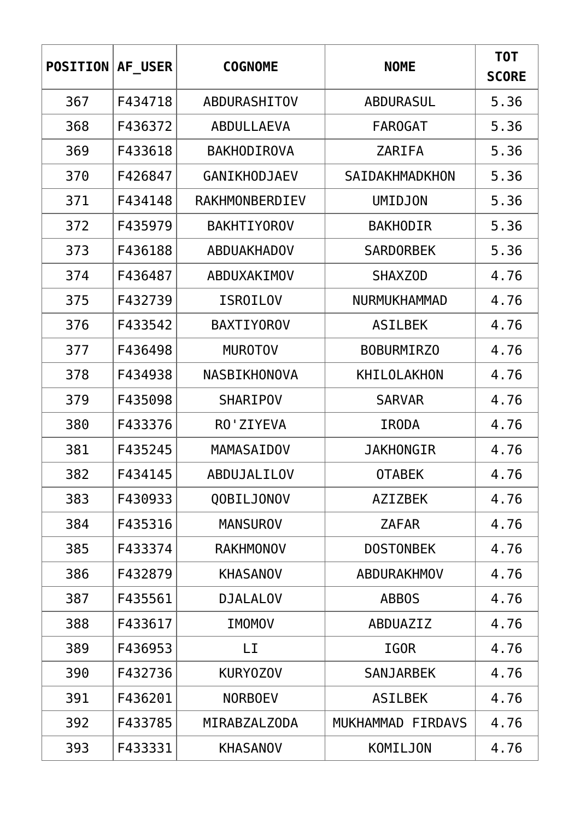| <b>POSITION</b> | AF USER | <b>COGNOME</b>      | <b>NOME</b>           | T0T<br><b>SCORE</b> |
|-----------------|---------|---------------------|-----------------------|---------------------|
| 367             | F434718 | ABDURASHITOV        | <b>ABDURASUL</b>      | 5.36                |
| 368             | F436372 | ABDULLAEVA          | <b>FAROGAT</b>        | 5.36                |
| 369             | F433618 | <b>BAKHODIROVA</b>  | <b>ZARIFA</b>         | 5.36                |
| 370             | F426847 | <b>GANIKHODJAEV</b> | <b>SAIDAKHMADKHON</b> | 5.36                |
| 371             | F434148 | RAKHMONBERDIEV      | <b>UMIDJON</b>        | 5.36                |
| 372             | F435979 | <b>BAKHTIYOROV</b>  | <b>BAKHODIR</b>       | 5.36                |
| 373             | F436188 | <b>ABDUAKHADOV</b>  | <b>SARDORBEK</b>      | 5.36                |
| 374             | F436487 | ABDUXAKIMOV         | <b>SHAXZOD</b>        | 4.76                |
| 375             | F432739 | <b>ISROILOV</b>     | <b>NURMUKHAMMAD</b>   | 4.76                |
| 376             | F433542 | <b>BAXTIYOROV</b>   | <b>ASILBEK</b>        | 4.76                |
| 377             | F436498 | <b>MUROTOV</b>      | <b>BOBURMIRZO</b>     | 4.76                |
| 378             | F434938 | NASBIKHONOVA        | KHILOLAKHON           | 4.76                |
| 379             | F435098 | <b>SHARIPOV</b>     | <b>SARVAR</b>         | 4.76                |
| 380             | F433376 | RO'ZIYEVA           | <b>IRODA</b>          | 4.76                |
| 381             | F435245 | MAMASAIDOV          | <b>JAKHONGIR</b>      | 4.76                |
| 382             | F434145 | ABDUJALILOV         | <b>OTABEK</b>         | 4.76                |
| 383             | F430933 | QOBILJONOV          | <b>AZIZBEK</b>        | 4.76                |
| 384             | F435316 | <b>MANSUROV</b>     | <b>ZAFAR</b>          | 4.76                |
| 385             | F433374 | <b>RAKHMONOV</b>    | <b>DOSTONBEK</b>      | 4.76                |
| 386             | F432879 | <b>KHASANOV</b>     | ABDURAKHMOV           | 4.76                |
| 387             | F435561 | <b>DJALALOV</b>     | <b>ABBOS</b>          | 4.76                |
| 388             | F433617 | <b>IMOMOV</b>       | ABDUAZIZ              | 4.76                |
| 389             | F436953 | LI                  | <b>IGOR</b>           | 4.76                |
| 390             | F432736 | KURY0Z0V            | <b>SANJARBEK</b>      | 4.76                |
| 391             | F436201 | <b>NORBOEV</b>      | <b>ASILBEK</b>        | 4.76                |
| 392             | F433785 | MIRABZALZODA        | MUKHAMMAD FIRDAVS     | 4.76                |
| 393             | F433331 | <b>KHASANOV</b>     | KOMILJON              | 4.76                |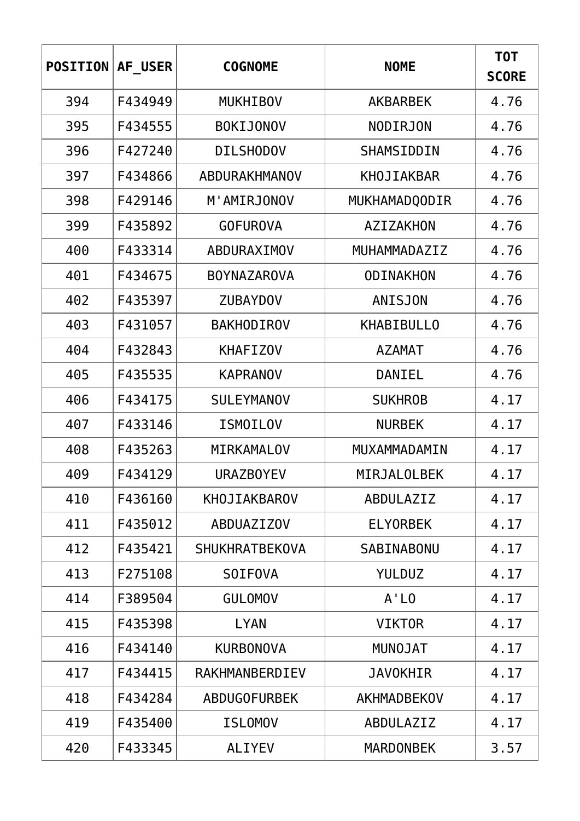| <b>POSITION</b> | AF USER | <b>COGNOME</b>        | <b>NOME</b>       | T0T<br><b>SCORE</b> |
|-----------------|---------|-----------------------|-------------------|---------------------|
| 394             | F434949 | <b>MUKHIBOV</b>       | <b>AKBARBEK</b>   | 4.76                |
| 395             | F434555 | <b>BOKIJONOV</b>      | <b>NODIRJON</b>   | 4.76                |
| 396             | F427240 | <b>DILSHODOV</b>      | SHAMSIDDIN        | 4.76                |
| 397             | F434866 | ABDURAKHMANOV         | <b>KHOJIAKBAR</b> | 4.76                |
| 398             | F429146 | M'AMIRJONOV           | MUKHAMADQODIR     | 4.76                |
| 399             | F435892 | <b>GOFUROVA</b>       | AZIZAKHON         | 4.76                |
| 400             | F433314 | ABDURAXIMOV           | MUHAMMADAZIZ      | 4.76                |
| 401             | F434675 | <b>BOYNAZAROVA</b>    | <b>ODINAKHON</b>  | 4.76                |
| 402             | F435397 | <b>ZUBAYDOV</b>       | <b>ANISJON</b>    | 4.76                |
| 403             | F431057 | <b>BAKHODIROV</b>     | <b>KHABIBULLO</b> | 4.76                |
| 404             | F432843 | <b>KHAFIZOV</b>       | <b>AZAMAT</b>     | 4.76                |
| 405             | F435535 | <b>KAPRANOV</b>       | DANIEL            | 4.76                |
| 406             | F434175 | <b>SULEYMANOV</b>     | <b>SUKHROB</b>    | 4.17                |
| 407             | F433146 | <b>ISMOILOV</b>       | <b>NURBEK</b>     | 4.17                |
| 408             | F435263 | MIRKAMALOV            | MUXAMMADAMIN      | 4.17                |
| 409             | F434129 | <b>URAZBOYEV</b>      | MIRJALOLBEK       | 4.17                |
| 410             | F436160 | <b>KHOJIAKBAROV</b>   | ABDULAZIZ         | 4.17                |
| 411             | F435012 | <b>ABDUAZIZOV</b>     | <b>ELYORBEK</b>   | 4.17                |
| 412             | F435421 | <b>SHUKHRATBEKOVA</b> | SABINABONU        | 4.17                |
| 413             | F275108 | <b>SOIFOVA</b>        | <b>YULDUZ</b>     | 4.17                |
| 414             | F389504 | <b>GULOMOV</b>        | $A'$ LO           | 4.17                |
| 415             | F435398 | <b>LYAN</b>           | <b>VIKTOR</b>     | 4.17                |
| 416             | F434140 | <b>KURBONOVA</b>      | <b>MUNOJAT</b>    | 4.17                |
| 417             | F434415 | RAKHMANBERDIEV        | <b>JAVOKHIR</b>   | 4.17                |
| 418             | F434284 | <b>ABDUGOFURBEK</b>   | AKHMADBEKOV       | 4.17                |
| 419             | F435400 | <b>ISLOMOV</b>        | ABDULAZIZ         | 4.17                |
| 420             | F433345 | <b>ALIYEV</b>         | <b>MARDONBEK</b>  | 3.57                |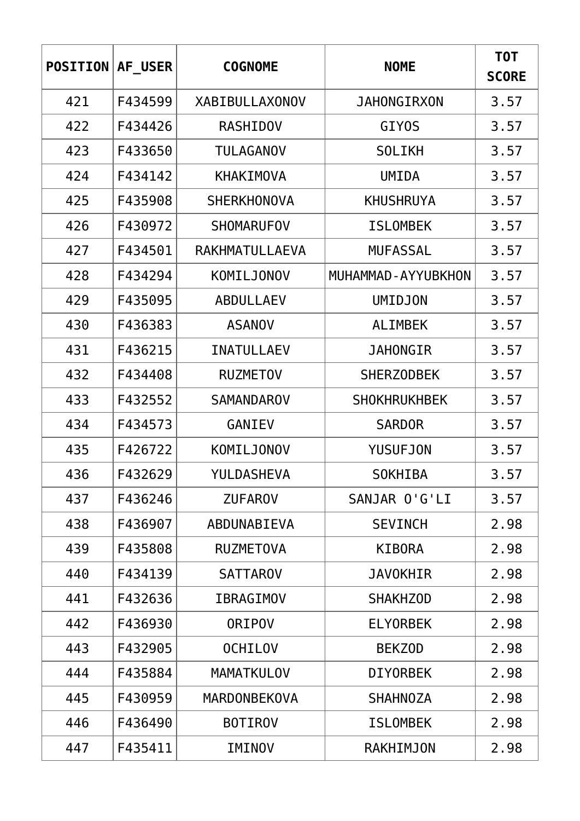| <b>POSITION</b> | AF USER | <b>COGNOME</b>        | <b>NOME</b>         | T0T<br><b>SCORE</b> |
|-----------------|---------|-----------------------|---------------------|---------------------|
| 421             | F434599 | <b>XABIBULLAXONOV</b> | <b>JAHONGIRXON</b>  | 3.57                |
| 422             | F434426 | <b>RASHIDOV</b>       | GIY <sub>0</sub> S  | 3.57                |
| 423             | F433650 | <b>TULAGANOV</b>      | <b>SOLIKH</b>       | 3.57                |
| 424             | F434142 | <b>KHAKIMOVA</b>      | <b>UMIDA</b>        | 3.57                |
| 425             | F435908 | <b>SHERKHONOVA</b>    | <b>KHUSHRUYA</b>    | 3.57                |
| 426             | F430972 | <b>SHOMARUFOV</b>     | <b>ISLOMBEK</b>     | 3.57                |
| 427             | F434501 | RAKHMATULLAEVA        | <b>MUFASSAL</b>     | 3.57                |
| 428             | F434294 | KOMILJONOV            | MUHAMMAD-AYYUBKHON  | 3.57                |
| 429             | F435095 | <b>ABDULLAEV</b>      | <b>UMIDJON</b>      | 3.57                |
| 430             | F436383 | <b>ASANOV</b>         | <b>ALIMBEK</b>      | 3.57                |
| 431             | F436215 | <b>INATULLAEV</b>     | <b>JAHONGIR</b>     | 3.57                |
| 432             | F434408 | <b>RUZMETOV</b>       | <b>SHERZODBEK</b>   | 3.57                |
| 433             | F432552 | <b>SAMANDAROV</b>     | <b>SHOKHRUKHBEK</b> | 3.57                |
| 434             | F434573 | GANIEV                | <b>SARDOR</b>       | 3.57                |
| 435             | F426722 | KOMILJONOV            | <b>YUSUFJON</b>     | 3.57                |
| 436             | F432629 | YULDASHEVA            | SOKHIBA             | 3.57                |
| 437             | F436246 | <b>ZUFAROV</b>        | SANJAR O'G'LI       | 3.57                |
| 438             | F436907 | ABDUNABIEVA           | <b>SEVINCH</b>      | 2.98                |
| 439             | F435808 | <b>RUZMETOVA</b>      | <b>KIBORA</b>       | 2.98                |
| 440             | F434139 | <b>SATTAROV</b>       | <b>JAVOKHIR</b>     | 2.98                |
| 441             | F432636 | <b>IBRAGIMOV</b>      | <b>SHAKHZOD</b>     | 2.98                |
| 442             | F436930 | <b>ORIPOV</b>         | <b>ELYORBEK</b>     | 2.98                |
| 443             | F432905 | <b>OCHILOV</b>        | <b>BEKZOD</b>       | 2.98                |
| 444             | F435884 | <b>MAMATKULOV</b>     | <b>DIYORBEK</b>     | 2.98                |
| 445             | F430959 | <b>MARDONBEKOVA</b>   | <b>SHAHNOZA</b>     | 2.98                |
| 446             | F436490 | <b>BOTIROV</b>        | <b>ISLOMBEK</b>     | 2.98                |
| 447             | F435411 | IMINOV                | <b>RAKHIMJON</b>    | 2.98                |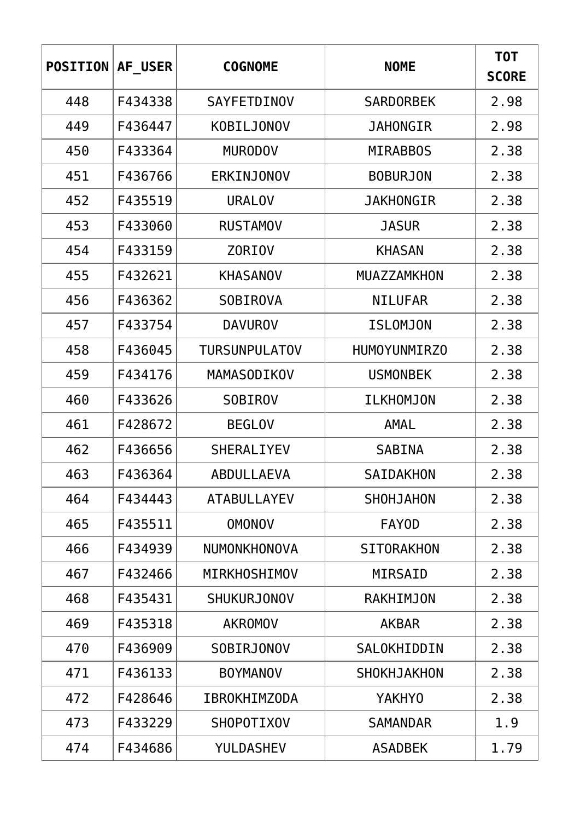| <b>POSITION</b> | AF USER | <b>COGNOME</b>       | <b>NOME</b>        | T0T<br><b>SCORE</b> |
|-----------------|---------|----------------------|--------------------|---------------------|
| 448             | F434338 | <b>SAYFETDINOV</b>   | <b>SARDORBEK</b>   | 2.98                |
| 449             | F436447 | <b>KOBILJONOV</b>    | JAHONGIR           | 2.98                |
| 450             | F433364 | <b>MURODOV</b>       | <b>MIRABBOS</b>    | 2.38                |
| 451             | F436766 | ERKINJONOV           | <b>BOBURJON</b>    | 2.38                |
| 452             | F435519 | <b>URALOV</b>        | <b>JAKHONGIR</b>   | 2.38                |
| 453             | F433060 | <b>RUSTAMOV</b>      | <b>JASUR</b>       | 2.38                |
| 454             | F433159 | <b>ZORIOV</b>        | <b>KHASAN</b>      | 2.38                |
| 455             | F432621 | <b>KHASANOV</b>      | MUAZZAMKHON        | 2.38                |
| 456             | F436362 | <b>SOBIROVA</b>      | <b>NILUFAR</b>     | 2.38                |
| 457             | F433754 | <b>DAVUROV</b>       | <b>ISLOMJON</b>    | 2.38                |
| 458             | F436045 | <b>TURSUNPULATOV</b> | HUMOYUNMIRZ0       | 2.38                |
| 459             | F434176 | MAMASODIKOV          | <b>USMONBEK</b>    | 2.38                |
| 460             | F433626 | <b>SOBIROV</b>       | <b>ILKHOMJON</b>   | 2.38                |
| 461             | F428672 | <b>BEGLOV</b>        | AMAL               | 2.38                |
| 462             | F436656 | <b>SHERALIYEV</b>    | <b>SABINA</b>      | 2.38                |
| 463             | F436364 | ABDULLAEVA           | SAIDAKHON          | 2.38                |
| 464             | F434443 | <b>ATABULLAYEV</b>   | <b>SHOHJAHON</b>   | 2.38                |
| 465             | F435511 | <b>OMONOV</b>        | <b>FAYOD</b>       | 2.38                |
| 466             | F434939 | NUMONKHONOVA         | <b>SITORAKHON</b>  | 2.38                |
| 467             | F432466 | MIRKHOSHIMOV         | MIRSAID            | 2.38                |
| 468             | F435431 | <b>SHUKURJONOV</b>   | RAKHIMJON          | 2.38                |
| 469             | F435318 | <b>AKROMOV</b>       | <b>AKBAR</b>       | 2.38                |
| 470             | F436909 | SOBIRJONOV           | SALOKHIDDIN        | 2.38                |
| 471             | F436133 | <b>BOYMANOV</b>      | <b>SHOKHJAKHON</b> | 2.38                |
| 472             | F428646 | <b>IBROKHIMZODA</b>  | <b>YAKHYO</b>      | 2.38                |
| 473             | F433229 | <b>SHOPOTIXOV</b>    | <b>SAMANDAR</b>    | 1.9                 |
| 474             | F434686 | <b>YULDASHEV</b>     | <b>ASADBEK</b>     | 1.79                |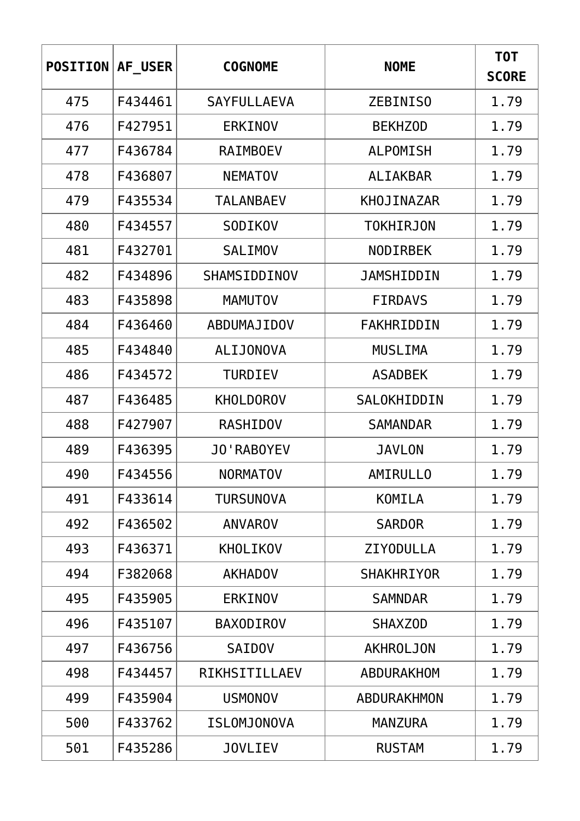| <b>POSITION</b> | AF USER | <b>COGNOME</b>     | <b>NOME</b>       | <b>TOT</b><br><b>SCORE</b> |
|-----------------|---------|--------------------|-------------------|----------------------------|
| 475             | F434461 | <b>SAYFULLAEVA</b> | ZEBINISO          | 1.79                       |
| 476             | F427951 | <b>ERKINOV</b>     | <b>BEKHZOD</b>    | 1.79                       |
| 477             | F436784 | <b>RAIMBOEV</b>    | <b>ALPOMISH</b>   | 1.79                       |
| 478             | F436807 | <b>NEMATOV</b>     | <b>ALIAKBAR</b>   | 1.79                       |
| 479             | F435534 | <b>TALANBAEV</b>   | KHOJINAZAR        | 1.79                       |
| 480             | F434557 | SODIKOV            | <b>TOKHIRJON</b>  | 1.79                       |
| 481             | F432701 | <b>SALIMOV</b>     | <b>NODIRBEK</b>   | 1.79                       |
| 482             | F434896 | SHAMSIDDINOV       | <b>JAMSHIDDIN</b> | 1.79                       |
| 483             | F435898 | <b>MAMUTOV</b>     | <b>FIRDAVS</b>    | 1.79                       |
| 484             | F436460 | ABDUMAJIDOV        | FAKHRIDDIN        | 1.79                       |
| 485             | F434840 | <b>ALIJONOVA</b>   | <b>MUSLIMA</b>    | 1.79                       |
| 486             | F434572 | <b>TURDIEV</b>     | <b>ASADBEK</b>    | 1.79                       |
| 487             | F436485 | <b>KHOLDOROV</b>   | SALOKHIDDIN       | 1.79                       |
| 488             | F427907 | <b>RASHIDOV</b>    | <b>SAMANDAR</b>   | 1.79                       |
| 489             | F436395 | <b>JO'RABOYEV</b>  | <b>JAVLON</b>     | 1.79                       |
| 490             | F434556 | <b>NORMATOV</b>    | AMIRULLO          | 1.79                       |
| 491             | F433614 | <b>TURSUNOVA</b>   | KOMILA            | 1.79                       |
| 492             | F436502 | <b>ANVAROV</b>     | <b>SARDOR</b>     | 1.79                       |
| 493             | F436371 | KHOLIKOV           | <b>ZIYODULLA</b>  | 1.79                       |
| 494             | F382068 | <b>AKHADOV</b>     | <b>SHAKHRIYOR</b> | 1.79                       |
| 495             | F435905 | <b>ERKINOV</b>     | <b>SAMNDAR</b>    | 1.79                       |
| 496             | F435107 | <b>BAXODIROV</b>   | <b>SHAXZOD</b>    | 1.79                       |
| 497             | F436756 | <b>SAIDOV</b>      | <b>AKHROLJON</b>  | 1.79                       |
| 498             | F434457 | RIKHSITILLAEV      | ABDURAKHOM        | 1.79                       |
| 499             | F435904 | <b>USMONOV</b>     | ABDURAKHMON       | 1.79                       |
| 500             | F433762 | ISLOMJONOVA        | <b>MANZURA</b>    | 1.79                       |
| 501             | F435286 | <b>JOVLIEV</b>     | <b>RUSTAM</b>     | 1.79                       |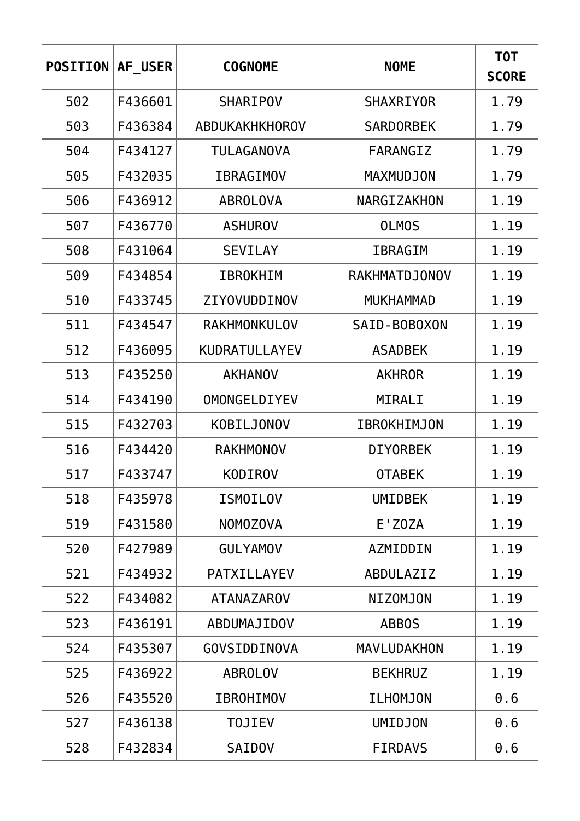| <b>POSITION</b> | AF USER | <b>COGNOME</b>       | <b>NOME</b>          | T0T<br><b>SCORE</b> |
|-----------------|---------|----------------------|----------------------|---------------------|
| 502             | F436601 | <b>SHARIPOV</b>      | <b>SHAXRIYOR</b>     | 1.79                |
| 503             | F436384 | ABDUKAKHKHOROV       | <b>SARDORBEK</b>     | 1.79                |
| 504             | F434127 | TULAGANOVA           | FARANGIZ             | 1.79                |
| 505             | F432035 | <b>IBRAGIMOV</b>     | <b>MAXMUDJON</b>     | 1.79                |
| 506             | F436912 | <b>ABROLOVA</b>      | NARGIZAKHON          | 1.19                |
| 507             | F436770 | <b>ASHUROV</b>       | <b>OLMOS</b>         | 1.19                |
| 508             | F431064 | <b>SEVILAY</b>       | <b>IBRAGIM</b>       | 1.19                |
| 509             | F434854 | <b>IBROKHIM</b>      | <b>RAKHMATDJONOV</b> | 1.19                |
| 510             | F433745 | ZIYOVUDDINOV         | <b>MUKHAMMAD</b>     | 1.19                |
| 511             | F434547 | RAKHMONKULOV         | SAID-BOBOXON         | 1.19                |
| 512             | F436095 | <b>KUDRATULLAYEV</b> | <b>ASADBEK</b>       | 1.19                |
| 513             | F435250 | <b>AKHANOV</b>       | <b>AKHROR</b>        | 1.19                |
| 514             | F434190 | <b>OMONGELDIYEV</b>  | MIRALI               | 1.19                |
| 515             | F432703 | K0BILJ0N0V           | <b>IBROKHIMJON</b>   | 1.19                |
| 516             | F434420 | <b>RAKHMONOV</b>     | <b>DIYORBEK</b>      | 1.19                |
| 517             | F433747 | <b>KODIROV</b>       | <b>OTABEK</b>        | 1.19                |
| 518             | F435978 | <b>ISMOILOV</b>      | <b>UMIDBEK</b>       | 1.19                |
| 519             | F431580 | <b>NOMOZOVA</b>      | E'Z0ZA               | 1.19                |
| 520             | F427989 | <b>GULYAMOV</b>      | AZMIDDIN             | 1.19                |
| 521             | F434932 | PATXILLAYEV          | <b>ABDULAZIZ</b>     | 1.19                |
| 522             | F434082 | <b>ATANAZAROV</b>    | <b>NIZOMJON</b>      | 1.19                |
| 523             | F436191 | ABDUMAJIDOV          | <b>ABBOS</b>         | 1.19                |
| 524             | F435307 | GOVSIDDINOVA         | <b>MAVLUDAKHON</b>   | 1.19                |
| 525             | F436922 | <b>ABROLOV</b>       | <b>BEKHRUZ</b>       | 1.19                |
| 526             | F435520 | <b>IBROHIMOV</b>     | ILHOMJON             | 0.6                 |
| 527             | F436138 | <b>TOJIEV</b>        | <b>UMIDJON</b>       | 0.6                 |
| 528             | F432834 | <b>SAIDOV</b>        | <b>FIRDAVS</b>       | 0.6                 |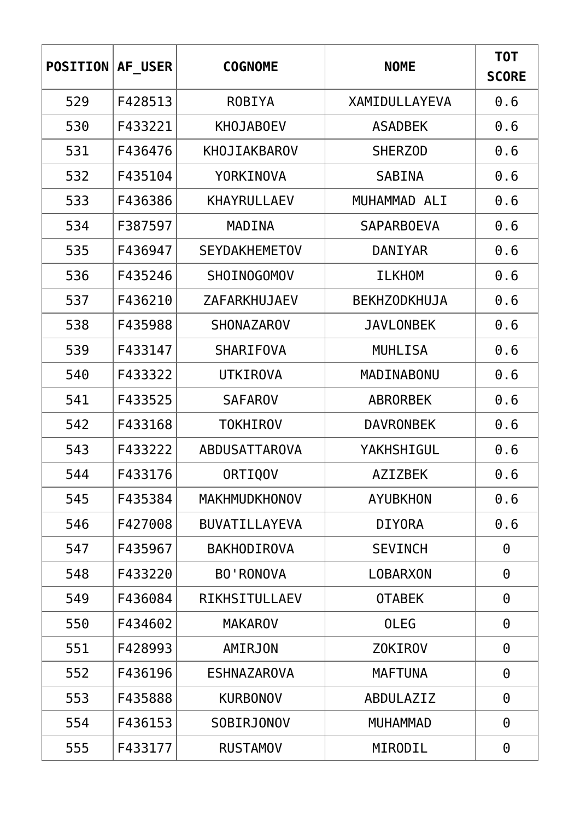| <b>POSITION</b> | AF USER | <b>COGNOME</b>       | <b>NOME</b>         | T0T<br><b>SCORE</b> |
|-----------------|---------|----------------------|---------------------|---------------------|
| 529             | F428513 | <b>ROBIYA</b>        | XAMIDULLAYEVA       | 0.6                 |
| 530             | F433221 | <b>KHOJABOEV</b>     | <b>ASADBEK</b>      | 0.6                 |
| 531             | F436476 | <b>KHOJIAKBAROV</b>  | <b>SHERZOD</b>      | 0.6                 |
| 532             | F435104 | <b>YORKINOVA</b>     | <b>SABINA</b>       | 0.6                 |
| 533             | F436386 | <b>KHAYRULLAEV</b>   | MUHAMMAD ALI        | 0.6                 |
| 534             | F387597 | MADINA               | <b>SAPARBOEVA</b>   | 0.6                 |
| 535             | F436947 | <b>SEYDAKHEMETOV</b> | DANIYAR             | 0.6                 |
| 536             | F435246 | SHOIN0GOMOV          | <b>ILKHOM</b>       | 0.6                 |
| 537             | F436210 | ZAFARKHUJAEV         | <b>BEKHZODKHUJA</b> | 0.6                 |
| 538             | F435988 | <b>SHONAZAROV</b>    | <b>JAVLONBEK</b>    | 0.6                 |
| 539             | F433147 | <b>SHARIFOVA</b>     | <b>MUHLISA</b>      | 0.6                 |
| 540             | F433322 | <b>UTKIROVA</b>      | MADINABONU          | 0.6                 |
| 541             | F433525 | <b>SAFAROV</b>       | <b>ABRORBEK</b>     | 0.6                 |
| 542             | F433168 | <b>TOKHIROV</b>      | <b>DAVRONBEK</b>    | 0.6                 |
| 543             | F433222 | ABDUSATTAROVA        | YAKHSHIGUL          | 0.6                 |
| 544             | F433176 | <b>ORTIQOV</b>       | <b>AZIZBEK</b>      | 0.6                 |
| 545             | F435384 | <b>MAKHMUDKHONOV</b> | <b>AYUBKHON</b>     | 0.6                 |
| 546             | F427008 | <b>BUVATILLAYEVA</b> | <b>DIYORA</b>       | 0.6                 |
| 547             | F435967 | <b>BAKHODIROVA</b>   | <b>SEVINCH</b>      | 0                   |
| 548             | F433220 | <b>BO'RONOVA</b>     | <b>LOBARXON</b>     | $\Theta$            |
| 549             | F436084 | RIKHSITULLAEV        | <b>OTABEK</b>       | $\Theta$            |
| 550             | F434602 | <b>MAKAROV</b>       | <b>OLEG</b>         | $\Theta$            |
| 551             | F428993 | AMIRJON              | <b>ZOKIROV</b>      | $\Theta$            |
| 552             | F436196 | <b>ESHNAZAROVA</b>   | <b>MAFTUNA</b>      | 0                   |
| 553             | F435888 | <b>KURBONOV</b>      | ABDULAZIZ           | $\Theta$            |
| 554             | F436153 | <b>SOBIRJONOV</b>    | <b>MUHAMMAD</b>     | $\Theta$            |
| 555             | F433177 | <b>RUSTAMOV</b>      | MIRODIL             | 0                   |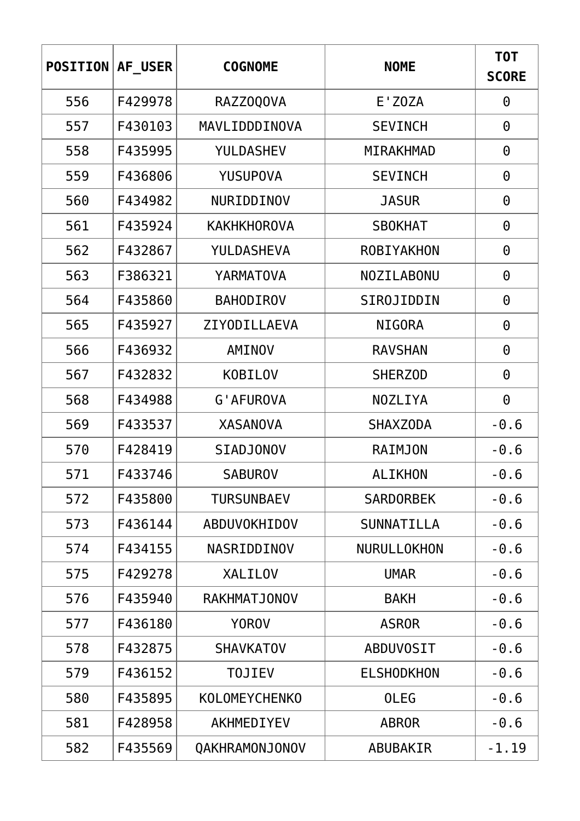| <b>POSITION</b> | AF USER | <b>COGNOME</b>       | <b>NOME</b>       | <b>TOT</b><br><b>SCORE</b> |
|-----------------|---------|----------------------|-------------------|----------------------------|
| 556             | F429978 | RAZZ0Q0VA            | E'ZOZA            | $\Theta$                   |
| 557             | F430103 | MAVLIDDDINOVA        | <b>SEVINCH</b>    | $\Theta$                   |
| 558             | F435995 | YULDASHEV            | <b>MIRAKHMAD</b>  | $\Theta$                   |
| 559             | F436806 | <b>YUSUPOVA</b>      | <b>SEVINCH</b>    | $\Theta$                   |
| 560             | F434982 | NURIDDINOV           | <b>JASUR</b>      | $\Theta$                   |
| 561             | F435924 | <b>KAKHKHOROVA</b>   | <b>SBOKHAT</b>    | $\Theta$                   |
| 562             | F432867 | <b>YULDASHEVA</b>    | <b>ROBIYAKHON</b> | $\Theta$                   |
| 563             | F386321 | <b>YARMATOVA</b>     | NOZILABONU        | $\Theta$                   |
| 564             | F435860 | <b>BAHODIROV</b>     | SIROJIDDIN        | $\Theta$                   |
| 565             | F435927 | ZIYODILLAEVA         | <b>NIGORA</b>     | $\Theta$                   |
| 566             | F436932 | AMINOV               | <b>RAVSHAN</b>    | $\Theta$                   |
| 567             | F432832 | <b>KOBILOV</b>       | <b>SHERZOD</b>    | $\Theta$                   |
| 568             | F434988 | <b>G'AFUROVA</b>     | <b>NOZLIYA</b>    | $\Theta$                   |
| 569             | F433537 | <b>XASANOVA</b>      | <b>SHAXZODA</b>   | $-0.6$                     |
| 570             | F428419 | <b>SIADJONOV</b>     | <b>RAIMJON</b>    | $-0.6$                     |
| 571             | F433746 | <b>SABUROV</b>       | <b>ALIKHON</b>    | $-0.6$                     |
| 572             | F435800 | <b>TURSUNBAEV</b>    | <b>SARDORBEK</b>  | $-0.6$                     |
| 573             | F436144 | ABDUVOKHIDOV         | SUNNATILLA        | $-0.6$                     |
| 574             | F434155 | NASRIDDINOV          | NURULLOKHON       | $-0.6$                     |
| 575             | F429278 | <b>XALILOV</b>       | <b>UMAR</b>       | $-0.6$                     |
| 576             | F435940 | <b>RAKHMATJONOV</b>  | <b>BAKH</b>       | $-0.6$                     |
| 577             | F436180 | <b>YOROV</b>         | <b>ASROR</b>      | $-0.6$                     |
| 578             | F432875 | <b>SHAVKATOV</b>     | <b>ABDUVOSIT</b>  | $-0.6$                     |
| 579             | F436152 | <b>TOJIEV</b>        | <b>ELSHODKHON</b> | $-0.6$                     |
| 580             | F435895 | <b>KOLOMEYCHENKO</b> | <b>OLEG</b>       | $-0.6$                     |
| 581             | F428958 | AKHMEDIYEV           | <b>ABROR</b>      | $-0.6$                     |
| 582             | F435569 | QAKHRAMONJONOV       | ABUBAKIR          | $-1.19$                    |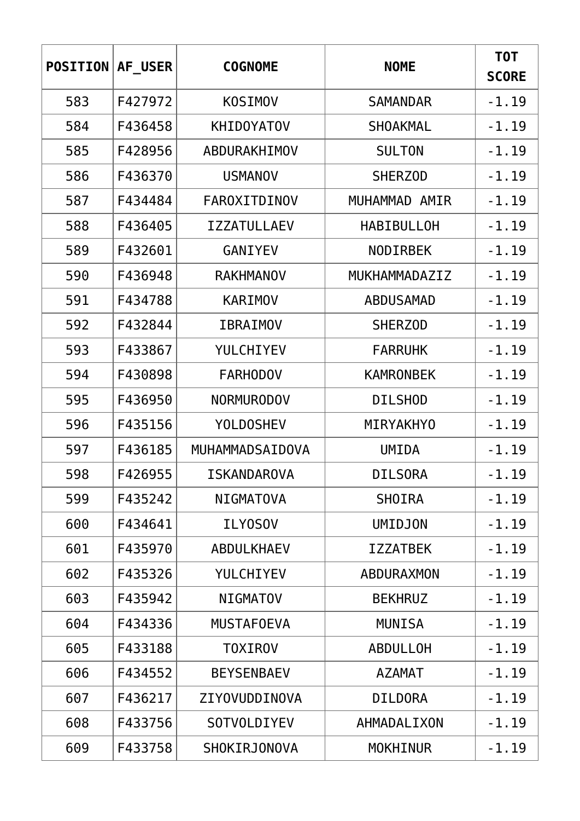| <b>POSITION</b> | AF USER | <b>COGNOME</b>      | <b>NOME</b>       | <b>TOT</b><br><b>SCORE</b> |
|-----------------|---------|---------------------|-------------------|----------------------------|
| 583             | F427972 | <b>KOSIMOV</b>      | <b>SAMANDAR</b>   | $-1.19$                    |
| 584             | F436458 | <b>KHIDOYATOV</b>   | <b>SHOAKMAL</b>   | $-1.19$                    |
| 585             | F428956 | ABDURAKHIMOV        | <b>SULTON</b>     | $-1.19$                    |
| 586             | F436370 | <b>USMANOV</b>      | <b>SHERZOD</b>    | $-1.19$                    |
| 587             | F434484 | FAROXITDINOV        | MUHAMMAD AMIR     | $-1.19$                    |
| 588             | F436405 | <b>IZZATULLAEV</b>  | <b>HABIBULLOH</b> | $-1.19$                    |
| 589             | F432601 | <b>GANIYEV</b>      | <b>NODIRBEK</b>   | $-1.19$                    |
| 590             | F436948 | <b>RAKHMANOV</b>    | MUKHAMMADAZIZ     | $-1.19$                    |
| 591             | F434788 | KARIMOV             | <b>ABDUSAMAD</b>  | $-1.19$                    |
| 592             | F432844 | <b>IBRAIMOV</b>     | <b>SHERZOD</b>    | $-1.19$                    |
| 593             | F433867 | YULCHIYEV           | <b>FARRUHK</b>    | $-1.19$                    |
| 594             | F430898 | <b>FARHODOV</b>     | <b>KAMRONBEK</b>  | $-1.19$                    |
| 595             | F436950 | <b>NORMURODOV</b>   | <b>DILSHOD</b>    | $-1.19$                    |
| 596             | F435156 | <b>YOLDOSHEV</b>    | <b>MIRYAKHYO</b>  | $-1.19$                    |
| 597             | F436185 | MUHAMMADSAIDOVA     | <b>UMIDA</b>      | $-1.19$                    |
| 598             | F426955 | ISKANDAROVA         | <b>DILSORA</b>    | $-1.19$                    |
| 599             | F435242 | <b>NIGMATOVA</b>    | <b>SHOIRA</b>     | $-1.19$                    |
| 600             | F434641 | <b>ILY0SOV</b>      | <b>UMIDJON</b>    | $-1.19$                    |
| 601             | F435970 | <b>ABDULKHAEV</b>   | <b>IZZATBEK</b>   | $-1.19$                    |
| 602             | F435326 | YULCHIYEV           | <b>ABDURAXMON</b> | $-1.19$                    |
| 603             | F435942 | <b>NIGMATOV</b>     | <b>BEKHRUZ</b>    | $-1.19$                    |
| 604             | F434336 | <b>MUSTAFOEVA</b>   | <b>MUNISA</b>     | $-1.19$                    |
| 605             | F433188 | <b>TOXIROV</b>      | <b>ABDULLOH</b>   | $-1.19$                    |
| 606             | F434552 | <b>BEYSENBAEV</b>   | <b>AZAMAT</b>     | $-1.19$                    |
| 607             | F436217 | ZIYOVUDDINOVA       | <b>DILDORA</b>    | $-1.19$                    |
| 608             | F433756 | <b>SOTVOLDIYEV</b>  | AHMADALIXON       | $-1.19$                    |
| 609             | F433758 | <b>SHOKIRJONOVA</b> | <b>MOKHINUR</b>   | $-1.19$                    |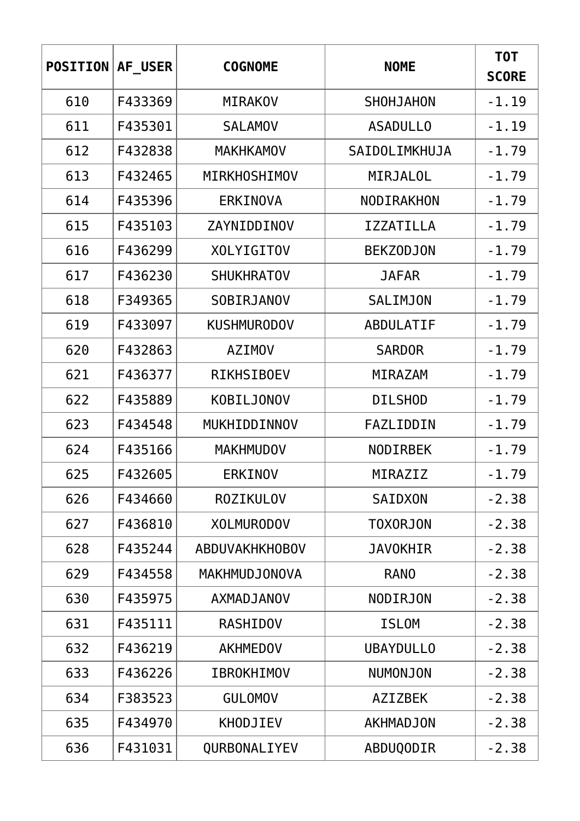| <b>POSITION</b> | AF USER | <b>COGNOME</b>        | <b>NOME</b>      | <b>TOT</b><br><b>SCORE</b> |
|-----------------|---------|-----------------------|------------------|----------------------------|
| 610             | F433369 | <b>MIRAKOV</b>        | <b>SHOHJAHON</b> | $-1.19$                    |
| 611             | F435301 | <b>SALAMOV</b>        | <b>ASADULLO</b>  | $-1.19$                    |
| 612             | F432838 | <b>MAKHKAMOV</b>      | SAIDOLIMKHUJA    | $-1.79$                    |
| 613             | F432465 | MIRKHOSHIMOV          | <b>MIRJALOL</b>  | $-1.79$                    |
| 614             | F435396 | <b>ERKINOVA</b>       | NODIRAKHON       | $-1.79$                    |
| 615             | F435103 | ZAYNIDDINOV           | <b>IZZATILLA</b> | $-1.79$                    |
| 616             | F436299 | <b>XOLYIGITOV</b>     | <b>BEKZODJON</b> | $-1.79$                    |
| 617             | F436230 | <b>SHUKHRATOV</b>     | <b>JAFAR</b>     | $-1.79$                    |
| 618             | F349365 | <b>SOBIRJANOV</b>     | <b>SALIMJON</b>  | $-1.79$                    |
| 619             | F433097 | <b>KUSHMURODOV</b>    | <b>ABDULATIF</b> | $-1.79$                    |
| 620             | F432863 | <b>AZIMOV</b>         | <b>SARDOR</b>    | $-1.79$                    |
| 621             | F436377 | <b>RIKHSIBOEV</b>     | MIRAZAM          | $-1.79$                    |
| 622             | F435889 | K0BILJ0N0V            | <b>DILSHOD</b>   | $-1.79$                    |
| 623             | F434548 | MUKHIDDINNOV          | FAZLIDDIN        | $-1.79$                    |
| 624             | F435166 | <b>MAKHMUDOV</b>      | <b>NODIRBEK</b>  | $-1.79$                    |
| 625             | F432605 | <b>ERKINOV</b>        | MIRAZIZ          | $-1.79$                    |
| 626             | F434660 | <b>ROZIKULOV</b>      | SAIDXON          | $-2.38$                    |
| 627             | F436810 | <b>XOLMURODOV</b>     | <b>TOXORJON</b>  | $-2.38$                    |
| 628             | F435244 | <b>ABDUVAKHKHOBOV</b> | <b>JAVOKHIR</b>  | $-2.38$                    |
| 629             | F434558 | MAKHMUDJONOVA         | <b>RANO</b>      | $-2.38$                    |
| 630             | F435975 | <b>AXMADJANOV</b>     | <b>NODIRJON</b>  | $-2.38$                    |
| 631             | F435111 | <b>RASHIDOV</b>       | <b>ISLOM</b>     | $-2.38$                    |
| 632             | F436219 | <b>AKHMEDOV</b>       | <b>UBAYDULLO</b> | $-2.38$                    |
| 633             | F436226 | <b>IBROKHIMOV</b>     | NUMONJON         | $-2.38$                    |
| 634             | F383523 | <b>GULOMOV</b>        | <b>AZIZBEK</b>   | $-2.38$                    |
| 635             | F434970 | <b>KHODJIEV</b>       | <b>AKHMADJON</b> | $-2.38$                    |
| 636             | F431031 | QURBONALIYEV          | ABDUQODIR        | $-2.38$                    |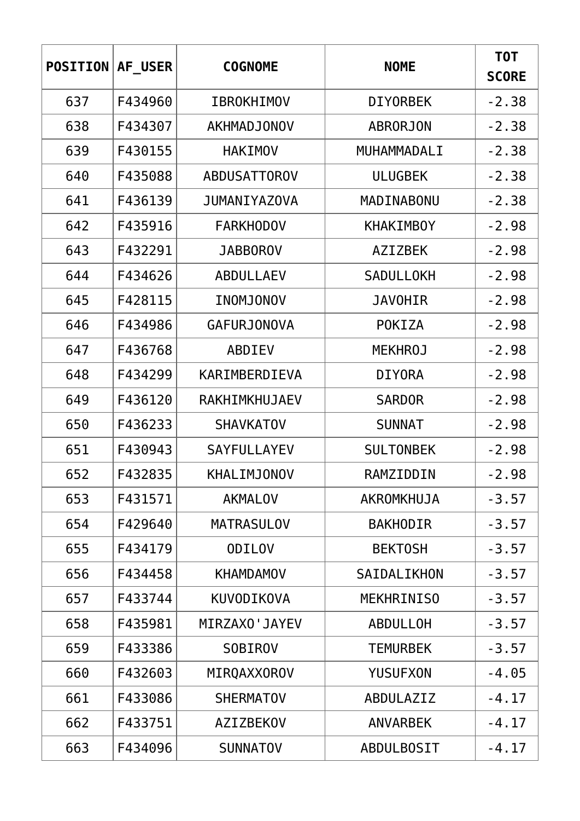| <b>POSITION</b> | AF USER | <b>COGNOME</b>      | <b>NOME</b>       | T0T<br><b>SCORE</b> |
|-----------------|---------|---------------------|-------------------|---------------------|
| 637             | F434960 | <b>IBROKHIMOV</b>   | <b>DIYORBEK</b>   | $-2.38$             |
| 638             | F434307 | AKHMADJONOV         | <b>ABRORJON</b>   | $-2.38$             |
| 639             | F430155 | <b>HAKIMOV</b>      | MUHAMMADALI       | $-2.38$             |
| 640             | F435088 | <b>ABDUSATTOROV</b> | <b>ULUGBEK</b>    | $-2.38$             |
| 641             | F436139 | <b>JUMANIYAZOVA</b> | MADINABONU        | $-2.38$             |
| 642             | F435916 | <b>FARKHODOV</b>    | <b>KHAKIMBOY</b>  | $-2.98$             |
| 643             | F432291 | <b>JABBOROV</b>     | <b>AZIZBEK</b>    | $-2.98$             |
| 644             | F434626 | <b>ABDULLAEV</b>    | <b>SADULLOKH</b>  | $-2.98$             |
| 645             | F428115 | INOMJONOV           | <b>JAVOHIR</b>    | $-2.98$             |
| 646             | F434986 | <b>GAFURJONOVA</b>  | <b>POKIZA</b>     | $-2.98$             |
| 647             | F436768 | ABDIEV              | <b>MEKHROJ</b>    | $-2.98$             |
| 648             | F434299 | KARIMBERDIEVA       | <b>DIYORA</b>     | $-2.98$             |
| 649             | F436120 | RAKHIMKHUJAEV       | <b>SARDOR</b>     | $-2.98$             |
| 650             | F436233 | <b>SHAVKATOV</b>    | <b>SUNNAT</b>     | $-2.98$             |
| 651             | F430943 | <b>SAYFULLAYEV</b>  | <b>SULTONBEK</b>  | $-2.98$             |
| 652             | F432835 | <b>KHALIMJONOV</b>  | RAMZIDDIN         | $-2.98$             |
| 653             | F431571 | <b>AKMALOV</b>      | AKROMKHUJA        | $-3.57$             |
| 654             | F429640 | <b>MATRASULOV</b>   | <b>BAKHODIR</b>   | $-3.57$             |
| 655             | F434179 | <b>ODILOV</b>       | <b>BEKTOSH</b>    | $-3.57$             |
| 656             | F434458 | <b>KHAMDAMOV</b>    | SAIDALIKHON       | $-3.57$             |
| 657             | F433744 | <b>KUVODIKOVA</b>   | <b>MEKHRINISO</b> | $-3.57$             |
| 658             | F435981 | MIRZAXO'JAYEV       | <b>ABDULLOH</b>   | $-3.57$             |
| 659             | F433386 | <b>SOBIROV</b>      | <b>TEMURBEK</b>   | $-3.57$             |
| 660             | F432603 | MIRQAXXOROV         | <b>YUSUFXON</b>   | $-4.05$             |
| 661             | F433086 | <b>SHERMATOV</b>    | ABDULAZIZ         | $-4.17$             |
| 662             | F433751 | <b>AZIZBEKOV</b>    | <b>ANVARBEK</b>   | $-4.17$             |
| 663             | F434096 | <b>SUNNATOV</b>     | <b>ABDULBOSIT</b> | $-4.17$             |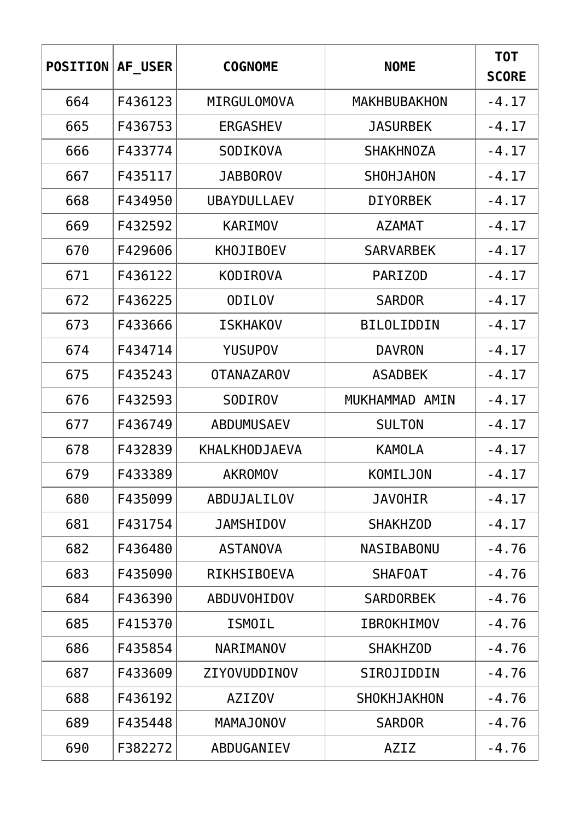| <b>POSITION</b> | AF USER | <b>COGNOME</b>       | <b>NOME</b>         | <b>TOT</b><br><b>SCORE</b> |
|-----------------|---------|----------------------|---------------------|----------------------------|
| 664             | F436123 | MIRGULOMOVA          | <b>MAKHBUBAKHON</b> | $-4.17$                    |
| 665             | F436753 | <b>ERGASHEV</b>      | <b>JASURBEK</b>     | $-4.17$                    |
| 666             | F433774 | <b>SODIKOVA</b>      | <b>SHAKHNOZA</b>    | $-4.17$                    |
| 667             | F435117 | <b>JABBOROV</b>      | <b>SHOHJAHON</b>    | $-4.17$                    |
| 668             | F434950 | <b>UBAYDULLAEV</b>   | <b>DIYORBEK</b>     | $-4.17$                    |
| 669             | F432592 | KARIMOV              | <b>AZAMAT</b>       | $-4.17$                    |
| 670             | F429606 | <b>KHOJIBOEV</b>     | <b>SARVARBEK</b>    | $-4.17$                    |
| 671             | F436122 | <b>KODIROVA</b>      | <b>PARIZOD</b>      | $-4.17$                    |
| 672             | F436225 | <b>ODILOV</b>        | <b>SARDOR</b>       | $-4.17$                    |
| 673             | F433666 | <b>ISKHAKOV</b>      | <b>BILOLIDDIN</b>   | $-4.17$                    |
| 674             | F434714 | <b>YUSUPOV</b>       | <b>DAVRON</b>       | $-4.17$                    |
| 675             | F435243 | <b>OTANAZAROV</b>    | <b>ASADBEK</b>      | $-4.17$                    |
| 676             | F432593 | <b>SODIROV</b>       | MUKHAMMAD AMIN      | $-4.17$                    |
| 677             | F436749 | ABDUMUSAEV           | <b>SULTON</b>       | $-4.17$                    |
| 678             | F432839 | <b>KHALKHODJAEVA</b> | <b>KAMOLA</b>       | $-4.17$                    |
| 679             | F433389 | <b>AKROMOV</b>       | KOMILJON            | $-4.17$                    |
| 680             | F435099 | ABDUJALILOV          | <b>JAVOHIR</b>      | $-4.17$                    |
| 681             | F431754 | <b>JAMSHIDOV</b>     | <b>SHAKHZOD</b>     | $-4.17$                    |
| 682             | F436480 | <b>ASTANOVA</b>      | NASIBABONU          | $-4.76$                    |
| 683             | F435090 | <b>RIKHSIBOEVA</b>   | <b>SHAFOAT</b>      | $-4.76$                    |
| 684             | F436390 | ABDUVOHIDOV          | <b>SARDORBEK</b>    | $-4.76$                    |
| 685             | F415370 | <b>ISMOIL</b>        | <b>IBROKHIMOV</b>   | $-4.76$                    |
| 686             | F435854 | <b>NARIMANOV</b>     | <b>SHAKHZOD</b>     | $-4.76$                    |
| 687             | F433609 | ZIYOVUDDINOV         | SIROJIDDIN          | $-4.76$                    |
| 688             | F436192 | <b>AZIZOV</b>        | <b>SHOKHJAKHON</b>  | $-4.76$                    |
| 689             | F435448 | <b>MAMAJONOV</b>     | <b>SARDOR</b>       | $-4.76$                    |
| 690             | F382272 | ABDUGANIEV           | AZIZ                | $-4.76$                    |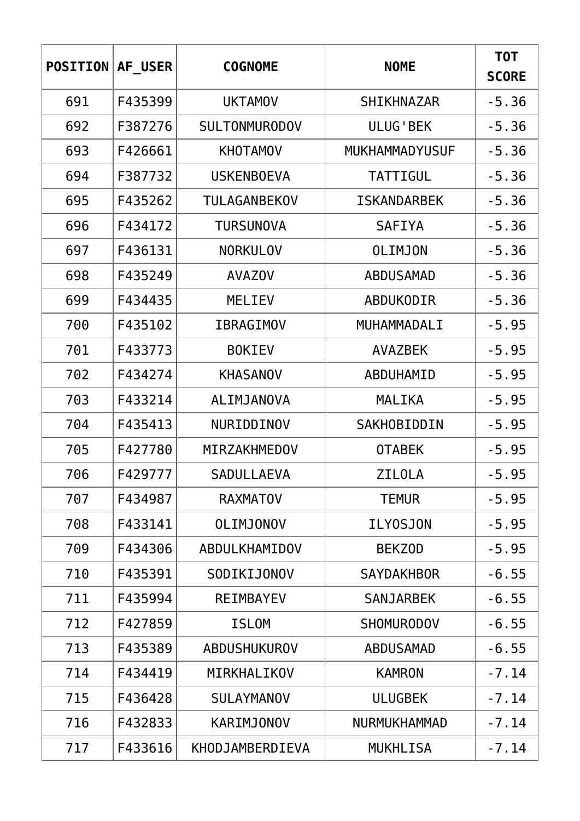| <b>POSITION</b> | AF USER | <b>COGNOME</b>       | <b>NOME</b>         | T0T<br><b>SCORE</b> |
|-----------------|---------|----------------------|---------------------|---------------------|
| 691             | F435399 | <b>UKTAMOV</b>       | <b>SHIKHNAZAR</b>   | $-5.36$             |
| 692             | F387276 | <b>SULTONMURODOV</b> | <b>ULUG'BEK</b>     | $-5.36$             |
| 693             | F426661 | <b>KHOTAMOV</b>      | MUKHAMMADYUSUF      | $-5.36$             |
| 694             | F387732 | <b>USKENBOEVA</b>    | TATTIGUL            | $-5.36$             |
| 695             | F435262 | TULAGANBEKOV         | <b>ISKANDARBEK</b>  | $-5.36$             |
| 696             | F434172 | <b>TURSUNOVA</b>     | <b>SAFIYA</b>       | $-5.36$             |
| 697             | F436131 | <b>NORKULOV</b>      | <b>OLIMJON</b>      | $-5.36$             |
| 698             | F435249 | <b>AVAZOV</b>        | <b>ABDUSAMAD</b>    | $-5.36$             |
| 699             | F434435 | MELIEV               | ABDUKODIR           | $-5.36$             |
| 700             | F435102 | <b>IBRAGIMOV</b>     | MUHAMMADALI         | $-5.95$             |
| 701             | F433773 | <b>BOKIEV</b>        | <b>AVAZBEK</b>      | $-5.95$             |
| 702             | F434274 | <b>KHASANOV</b>      | ABDUHAMID           | $-5.95$             |
| 703             | F433214 | ALIMJANOVA           | MALIKA              | $-5.95$             |
| 704             | F435413 | NURIDDINOV           | SAKHOBIDDIN         | $-5.95$             |
| 705             | F427780 | MIRZAKHMEDOV         | <b>OTABEK</b>       | $-5.95$             |
| 706             | F429777 | SADULLAEVA           | ZILOLA              | $-5.95$             |
| 707             | F434987 | <b>RAXMATOV</b>      | <b>TEMUR</b>        | $-5.95$             |
| 708             | F433141 | <b>OLIMJONOV</b>     | <b>ILY0SJON</b>     | $-5.95$             |
| 709             | F434306 | ABDULKHAMIDOV        | <b>BEKZOD</b>       | $-5.95$             |
| 710             | F435391 | SODIKIJONOV          | <b>SAYDAKHBOR</b>   | $-6.55$             |
| 711             | F435994 | <b>REIMBAYEV</b>     | <b>SANJARBEK</b>    | $-6.55$             |
| 712             | F427859 | <b>ISLOM</b>         | <b>SHOMURODOV</b>   | $-6.55$             |
| 713             | F435389 | <b>ABDUSHUKUROV</b>  | <b>ABDUSAMAD</b>    | $-6.55$             |
| 714             | F434419 | MIRKHALIKOV          | <b>KAMRON</b>       | $-7.14$             |
| 715             | F436428 | <b>SULAYMANOV</b>    | <b>ULUGBEK</b>      | $-7.14$             |
| 716             | F432833 | <b>KARIMJONOV</b>    | <b>NURMUKHAMMAD</b> | $-7.14$             |
| 717             | F433616 | KHODJAMBERDIEVA      | <b>MUKHLISA</b>     | $-7.14$             |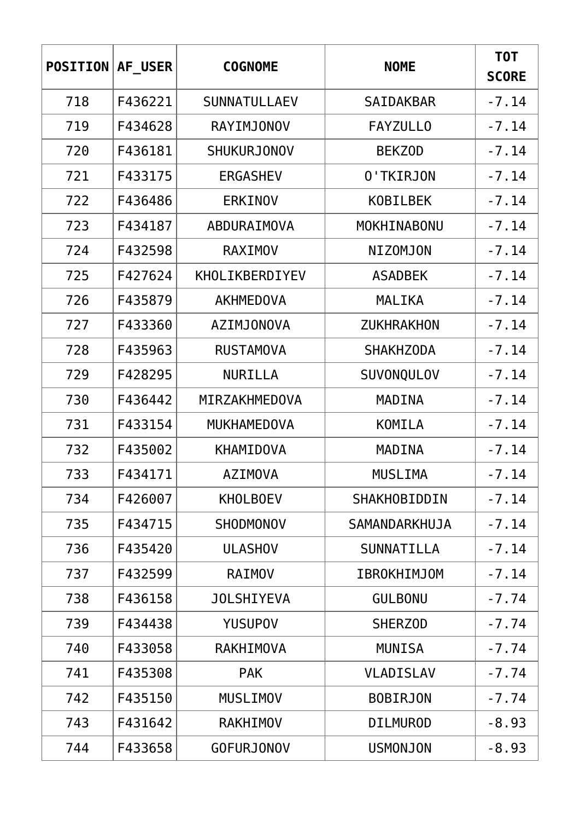| <b>POSITION</b> | AF USER | <b>COGNOME</b>      | <b>NOME</b>         | <b>TOT</b><br><b>SCORE</b> |
|-----------------|---------|---------------------|---------------------|----------------------------|
| 718             | F436221 | <b>SUNNATULLAEV</b> | <b>SAIDAKBAR</b>    | $-7.14$                    |
| 719             | F434628 | <b>RAYIMJONOV</b>   | <b>FAYZULLO</b>     | $-7.14$                    |
| 720             | F436181 | <b>SHUKURJONOV</b>  | <b>BEKZOD</b>       | $-7.14$                    |
| 721             | F433175 | <b>ERGASHEV</b>     | 0'TKIRJON           | $-7.14$                    |
| 722             | F436486 | <b>ERKINOV</b>      | <b>KOBILBEK</b>     | $-7.14$                    |
| 723             | F434187 | ABDURAIMOVA         | MOKHINABONU         | $-7.14$                    |
| 724             | F432598 | <b>RAXIMOV</b>      | <b>NIZOMJON</b>     | $-7.14$                    |
| 725             | F427624 | KHOLIKBERDIYEV      | <b>ASADBEK</b>      | $-7.14$                    |
| 726             | F435879 | <b>AKHMEDOVA</b>    | MALIKA              | $-7.14$                    |
| 727             | F433360 | <b>AZIMJONOVA</b>   | <b>ZUKHRAKHON</b>   | $-7.14$                    |
| 728             | F435963 | <b>RUSTAMOVA</b>    | <b>SHAKHZODA</b>    | $-7.14$                    |
| 729             | F428295 | <b>NURILLA</b>      | SUVONQULOV          | $-7.14$                    |
| 730             | F436442 | MIRZAKHMEDOVA       | MADINA              | $-7.14$                    |
| 731             | F433154 | <b>MUKHAMEDOVA</b>  | KOMILA              | $-7.14$                    |
| 732             | F435002 | <b>KHAMIDOVA</b>    | MADINA              | $-7.14$                    |
| 733             | F434171 | <b>AZIMOVA</b>      | <b>MUSLIMA</b>      | $-7.14$                    |
| 734             | F426007 | <b>KHOLBOEV</b>     | <b>SHAKHOBIDDIN</b> | $-7.14$                    |
| 735             | F434715 | SHODMONOV           | SAMANDARKHUJA       | $-7.14$                    |
| 736             | F435420 | <b>ULASHOV</b>      | SUNNATILLA          | $-7.14$                    |
| 737             | F432599 | <b>RAIMOV</b>       | <b>IBROKHIMJOM</b>  | $-7.14$                    |
| 738             | F436158 | <b>JOLSHIYEVA</b>   | <b>GULBONU</b>      | $-7.74$                    |
| 739             | F434438 | <b>YUSUPOV</b>      | <b>SHERZOD</b>      | $-7.74$                    |
| 740             | F433058 | <b>RAKHIMOVA</b>    | <b>MUNISA</b>       | $-7.74$                    |
| 741             | F435308 | <b>PAK</b>          | <b>VLADISLAV</b>    | $-7.74$                    |
| 742             | F435150 | <b>MUSLIMOV</b>     | <b>BOBIRJON</b>     | $-7.74$                    |
| 743             | F431642 | <b>RAKHIMOV</b>     | <b>DILMUROD</b>     | $-8.93$                    |
| 744             | F433658 | <b>GOFURJONOV</b>   | <b>USMONJON</b>     | $-8.93$                    |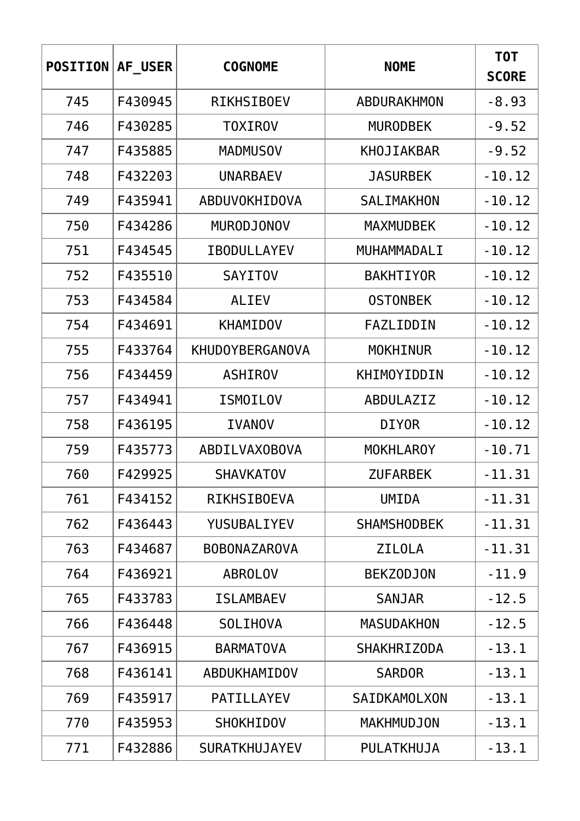| <b>POSITION</b> | AF USER | <b>COGNOME</b>         | <b>NOME</b>         | T0T<br><b>SCORE</b> |
|-----------------|---------|------------------------|---------------------|---------------------|
| 745             | F430945 | <b>RIKHSIBOEV</b>      | ABDURAKHMON         | $-8.93$             |
| 746             | F430285 | <b>TOXIROV</b>         | <b>MURODBEK</b>     | $-9.52$             |
| 747             | F435885 | <b>MADMUSOV</b>        | KHOJIAKBAR          | $-9.52$             |
| 748             | F432203 | <b>UNARBAEV</b>        | <b>JASURBEK</b>     | $-10.12$            |
| 749             | F435941 | ABDUVOKHIDOVA          | SALIMAKHON          | $-10.12$            |
| 750             | F434286 | <b>MURODJONOV</b>      | <b>MAXMUDBEK</b>    | $-10.12$            |
| 751             | F434545 | <b>IBODULLAYEV</b>     | MUHAMMADALI         | $-10.12$            |
| 752             | F435510 | <b>SAYITOV</b>         | <b>BAKHTIYOR</b>    | $-10.12$            |
| 753             | F434584 | <b>ALIEV</b>           | <b>OSTONBEK</b>     | $-10.12$            |
| 754             | F434691 | <b>KHAMIDOV</b>        | FAZLIDDIN           | $-10.12$            |
| 755             | F433764 | <b>KHUDOYBERGANOVA</b> | <b>MOKHINUR</b>     | $-10.12$            |
| 756             | F434459 | <b>ASHIROV</b>         | <b>KHIMOYIDDIN</b>  | $-10.12$            |
| 757             | F434941 | <b>ISMOILOV</b>        | ABDULAZIZ           | $-10.12$            |
| 758             | F436195 | <b>IVANOV</b>          | <b>DIYOR</b>        | $-10.12$            |
| 759             | F435773 | <b>ABDILVAXOBOVA</b>   | <b>MOKHLAROY</b>    | $-10.71$            |
| 760             | F429925 | <b>SHAVKATOV</b>       | ZUFARBEK            | $-11.31$            |
| 761             | F434152 | <b>RIKHSIBOEVA</b>     | UMIDA               | $-11.31$            |
| 762             | F436443 | YUSUBALIYEV            | <b>SHAMSHODBEK</b>  | $-11.31$            |
| 763             | F434687 | <b>BOBONAZAROVA</b>    | <b>ZILOLA</b>       | $-11.31$            |
| 764             | F436921 | <b>ABROLOV</b>         | <b>BEKZODJON</b>    | $-11.9$             |
| 765             | F433783 | <b>ISLAMBAEV</b>       | <b>SANJAR</b>       | $-12.5$             |
| 766             | F436448 | <b>SOLIHOVA</b>        | <b>MASUDAKHON</b>   | $-12.5$             |
| 767             | F436915 | <b>BARMATOVA</b>       | <b>SHAKHRIZODA</b>  | $-13.1$             |
| 768             | F436141 | ABDUKHAMIDOV           | <b>SARDOR</b>       | $-13.1$             |
| 769             | F435917 | <b>PATILLAYEV</b>      | <b>SAIDKAMOLXON</b> | $-13.1$             |
| 770             | F435953 | <b>SHOKHIDOV</b>       | <b>MAKHMUDJON</b>   | $-13.1$             |
| 771             | F432886 | <b>SURATKHUJAYEV</b>   | PULATKHUJA          | $-13.1$             |